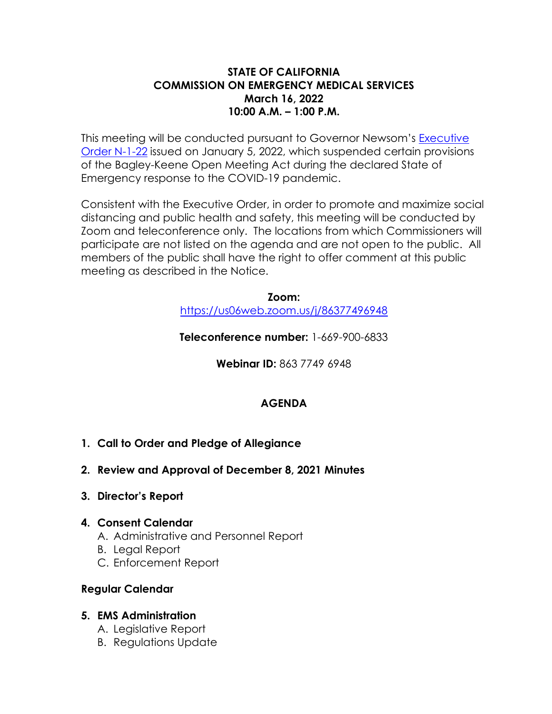### **STATE OF CALIFORNIA COMMISSION ON EMERGENCY MEDICAL SERVICES March 16, 2022 10:00 A.M. – 1:00 P.M.**

This meeting will be conducted pursuant to Governor Newsom's [Executive](https://www.gov.ca.gov/wp-content/uploads/2022/01/1.5.22-Bagley-Keene-waiver-EO.pdf#:%7E:text=EXECUTIVE%20DEPARTMENT%20STATE%20OF%20CALIFORNIA%20EXECUTIVE%20ORDER%20N-1-22,a%20result%20of%20the%20threat%20of%20COYID-19%3B%20and)  [Order N-1-22](https://www.gov.ca.gov/wp-content/uploads/2022/01/1.5.22-Bagley-Keene-waiver-EO.pdf#:%7E:text=EXECUTIVE%20DEPARTMENT%20STATE%20OF%20CALIFORNIA%20EXECUTIVE%20ORDER%20N-1-22,a%20result%20of%20the%20threat%20of%20COYID-19%3B%20and) issued on January 5, 2022, which suspended certain provisions of the Bagley-Keene Open Meeting Act during the declared State of Emergency response to the COVID-19 pandemic.

Consistent with the Executive Order, in order to promote and maximize social distancing and public health and safety, this meeting will be conducted by Zoom and teleconference only. The locations from which Commissioners will participate are not listed on the agenda and are not open to the public. All members of the public shall have the right to offer comment at this public meeting as described in the Notice.

#### **Zoom:**  <https://us06web.zoom.us/j/86377496948>

**Teleconference number:** 1-669-900-6833

**Webinar ID:** 863 7749 6948

## **AGENDA**

- **1. Call to Order and Pledge of Allegiance**
- **2. [Review and Approval of December 8, 2021 Minutes](#page-2-0)**
- **3. [Director's Report](#page-14-0)**

### **4. [Consent Calendar](#page-15-0)**

- A. [Administrative and Personnel Report](#page-15-0)
- B. [Legal Report](#page-18-0)
- C. [Enforcement Report](#page-20-0)

## **[Regular Calendar](#page-22-0)**

## **5. [EMS Administration](#page-22-0)**

- A. [Legislative Report](#page-22-0)
- B. [Regulations Update](#page-23-0)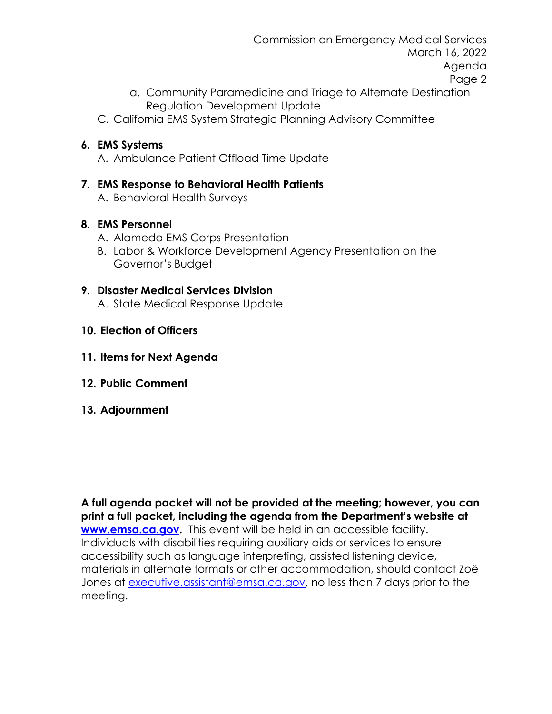Commission on Emergency Medical Services March 16, 2022 Agenda Page 2

- a. Community Paramedicine and Triage to Alternate Destination Regulation Development Update
- C. [California EMS System Strategic Planning Advisory Committee](#page-25-0)

## **6. [EMS Systems](#page-27-0)**

A. [Ambulance Patient Offload Time Update](#page-27-0)

# **7. [EMS Response to Behavioral Health Patients](#page-33-0)**

A. [Behavioral Health Surveys](#page-33-0) 

## **8. [EMS Personnel](#page-36-0)**

- A. [Alameda EMS Corps Presentation](#page-36-0)
- B. [Labor & Workforce Development Agency](#page-38-0) Presentation on the Governor's Budget

## **9. [Disaster Medical Services Division](#page-39-0)**

A. [State Medical Response Update](#page-39-0)

- **[10. Election of Officers](#page-42-0)**
- **11. Items for Next Agenda**
- **12. Public Comment**
- **13. Adjournment**

**A full agenda packet will not be provided at the meeting; however, you can print a full packet, including the agenda from the Department's website at [www.emsa.ca.gov.](http://www.emsa.ca.gov/)** This event will be held in an accessible facility. Individuals with disabilities requiring auxiliary aids or services to ensure accessibility such as language interpreting, assisted listening device, materials in alternate formats or other accommodation, should contact Zoë Jones at [executive.assistant@emsa.ca.gov,](mailto:executive.assistant@emsa.ca.gov) no less than 7 days prior to the meeting.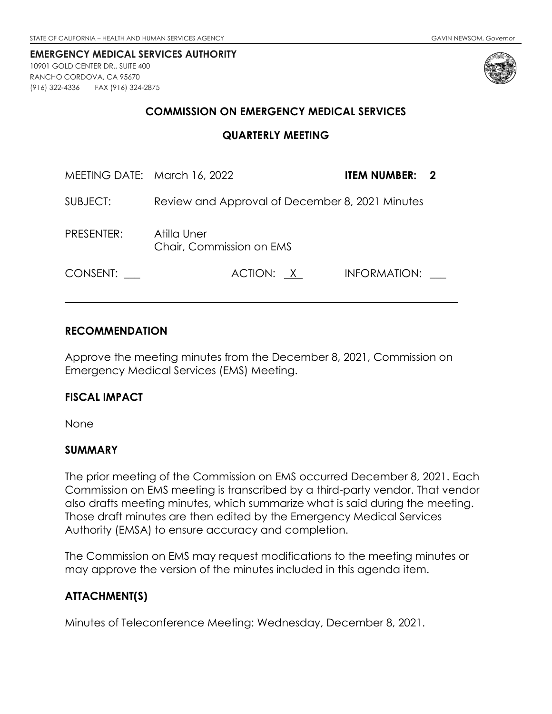<span id="page-2-0"></span>10901 GOLD CENTER DR., SUITE 400 RANCHO CORDOVA, CA 95670 (916) 322-4336 FAX (916) 324-2875



### **COMMISSION ON EMERGENCY MEDICAL SERVICES**

#### **QUARTERLY MEETING**

| MEETING DATE: March 16, 2022 |                                                 | <b>ITEM NUMBER: 2</b> |
|------------------------------|-------------------------------------------------|-----------------------|
| SUBJECT:                     | Review and Approval of December 8, 2021 Minutes |                       |
| PRESENTER:                   | Atilla Uner<br>Chair, Commission on EMS         |                       |
| CONSENT:                     | ACTION: X                                       | INFORMATION:          |

### **RECOMMENDATION**

Approve the meeting minutes from the December 8, 2021, Commission on Emergency Medical Services (EMS) Meeting.

#### **FISCAL IMPACT**

None

### **SUMMARY**

The prior meeting of the Commission on EMS occurred December 8, 2021. Each Commission on EMS meeting is transcribed by a third-party vendor. That vendor also drafts meeting minutes, which summarize what is said during the meeting. Those draft minutes are then edited by the Emergency Medical Services Authority (EMSA) to ensure accuracy and completion.

The Commission on EMS may request modifications to the meeting minutes or may approve the version of the minutes included in this agenda item.

### **ATTACHMENT(S)**

Minutes of Teleconference Meeting: Wednesday, December 8, 2021.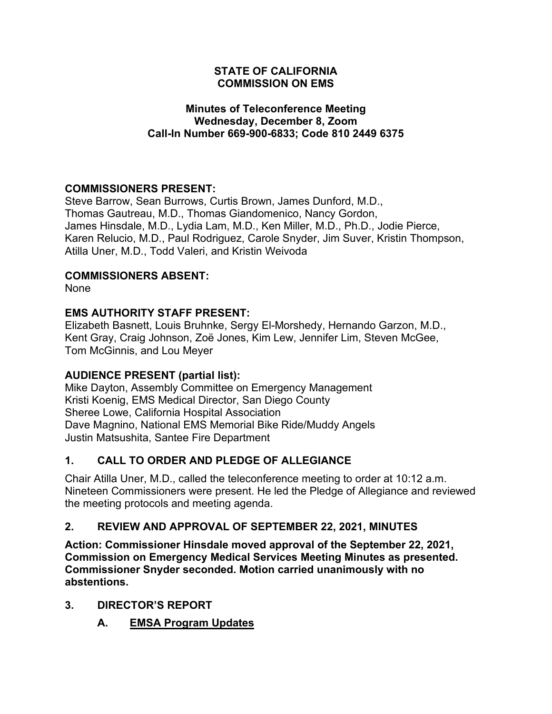### **STATE OF CALIFORNIA COMMISSION ON EMS**

### **Minutes of Teleconference Meeting Wednesday, December 8, Zoom Call-In Number 669-900-6833; Code 810 2449 6375**

## **COMMISSIONERS PRESENT:**

Steve Barrow, Sean Burrows, Curtis Brown, James Dunford, M.D., Thomas Gautreau, M.D., Thomas Giandomenico, Nancy Gordon, James Hinsdale, M.D., Lydia Lam, M.D., Ken Miller, M.D., Ph.D., Jodie Pierce, Karen Relucio, M.D., Paul Rodriguez, Carole Snyder, Jim Suver, Kristin Thompson, Atilla Uner, M.D., Todd Valeri, and Kristin Weivoda

## **COMMISSIONERS ABSENT:**

None

## **EMS AUTHORITY STAFF PRESENT:**

Elizabeth Basnett, Louis Bruhnke, Sergy El-Morshedy, Hernando Garzon, M.D., Kent Gray, Craig Johnson, Zoë Jones, Kim Lew, Jennifer Lim, Steven McGee, Tom McGinnis, and Lou Meyer

## **AUDIENCE PRESENT (partial list):**

Mike Dayton, Assembly Committee on Emergency Management Kristi Koenig, EMS Medical Director, San Diego County Sheree Lowe, California Hospital Association Dave Magnino, National EMS Memorial Bike Ride/Muddy Angels Justin Matsushita, Santee Fire Department

## **1. CALL TO ORDER AND PLEDGE OF ALLEGIANCE**

Chair Atilla Uner, M.D., called the teleconference meeting to order at 10:12 a.m. Nineteen Commissioners were present. He led the Pledge of Allegiance and reviewed the meeting protocols and meeting agenda.

## **2. REVIEW AND APPROVAL OF SEPTEMBER 22, 2021, MINUTES**

**Action: Commissioner Hinsdale moved approval of the September 22, 2021, Commission on Emergency Medical Services Meeting Minutes as presented. Commissioner Snyder seconded. Motion carried unanimously with no abstentions.**

## **3. DIRECTOR'S REPORT**

**A. EMSA Program Updates**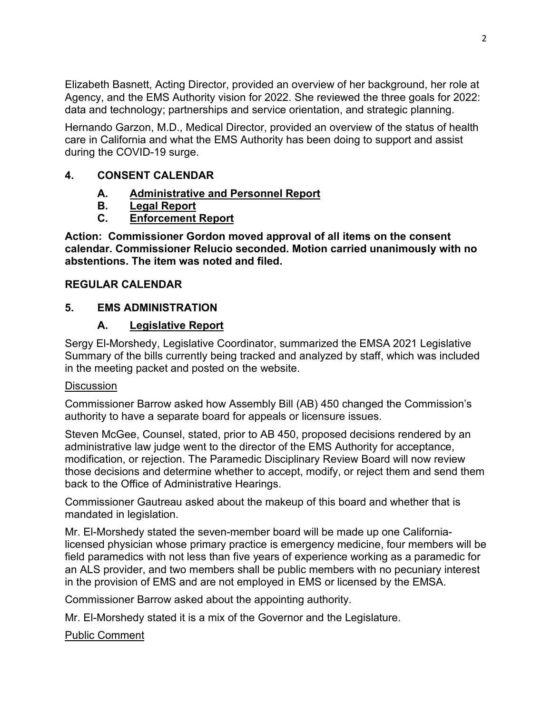Elizabeth Basnett, Acting Director, provided an overview of her background, her role at Agency, and the EMS Authority vision for 2022. She reviewed the three goals for 2022: data and technology; partnerships and service orientation, and strategic planning.

Hernando Garzon, M.D., Medical Director, provided an overview of the status of health care in California and what the EMS Authority has been doing to support and assist during the COVID-19 surge.

### **4. CONSENT CALENDAR**

- **A. Administrative and Personnel Report**
- **B. Legal Report**
- **C. Enforcement Report**

**Action: Commissioner Gordon moved approval of all items on the consent calendar. Commissioner Relucio seconded. Motion carried unanimously with no abstentions. The item was noted and filed.**

## **REGULAR CALENDAR**

## **5. EMS ADMINISTRATION**

## **A. Legislative Report**

Sergy El-Morshedy, Legislative Coordinator, summarized the EMSA 2021 Legislative Summary of the bills currently being tracked and analyzed by staff, which was included in the meeting packet and posted on the website.

## **Discussion**

Commissioner Barrow asked how Assembly Bill (AB) 450 changed the Commission's authority to have a separate board for appeals or licensure issues.

Steven McGee, Counsel, stated, prior to AB 450, proposed decisions rendered by an administrative law judge went to the director of the EMS Authority for acceptance, modification, or rejection. The Paramedic Disciplinary Review Board will now review those decisions and determine whether to accept, modify, or reject them and send them back to the Office of Administrative Hearings.

Commissioner Gautreau asked about the makeup of this board and whether that is mandated in legislation.

Mr. El-Morshedy stated the seven-member board will be made up one Californialicensed physician whose primary practice is emergency medicine, four members will be field paramedics with not less than five years of experience working as a paramedic for an ALS provider, and two members shall be public members with no pecuniary interest in the provision of EMS and are not employed in EMS or licensed by the EMSA.

Commissioner Barrow asked about the appointing authority.

Mr. El-Morshedy stated it is a mix of the Governor and the Legislature.

Public Comment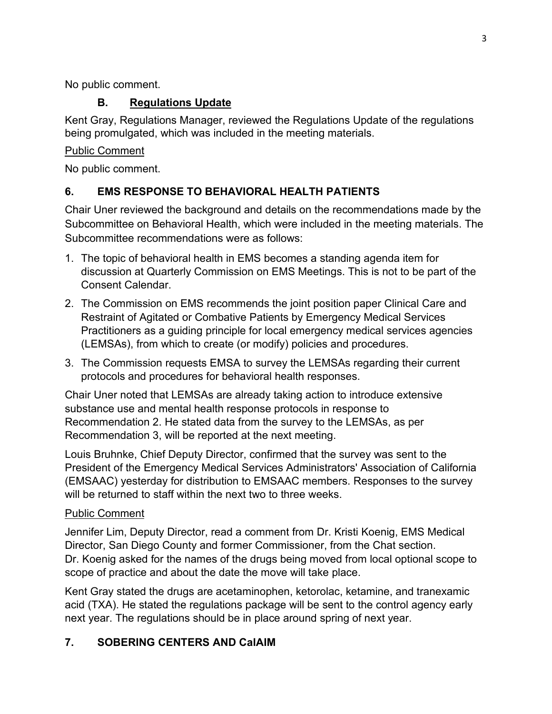No public comment.

## **B. Regulations Update**

Kent Gray, Regulations Manager, reviewed the Regulations Update of the regulations being promulgated, which was included in the meeting materials.

## Public Comment

No public comment.

## **6. EMS RESPONSE TO BEHAVIORAL HEALTH PATIENTS**

Chair Uner reviewed the background and details on the recommendations made by the Subcommittee on Behavioral Health, which were included in the meeting materials. The Subcommittee recommendations were as follows:

- 1. The topic of behavioral health in EMS becomes a standing agenda item for discussion at Quarterly Commission on EMS Meetings. This is not to be part of the Consent Calendar.
- 2. The Commission on EMS recommends the joint position paper Clinical Care and Restraint of Agitated or Combative Patients by Emergency Medical Services Practitioners as a guiding principle for local emergency medical services agencies (LEMSAs), from which to create (or modify) policies and procedures.
- 3. The Commission requests EMSA to survey the LEMSAs regarding their current protocols and procedures for behavioral health responses.

Chair Uner noted that LEMSAs are already taking action to introduce extensive substance use and mental health response protocols in response to Recommendation 2. He stated data from the survey to the LEMSAs, as per Recommendation 3, will be reported at the next meeting.

Louis Bruhnke, Chief Deputy Director, confirmed that the survey was sent to the President of the Emergency Medical Services Administrators' Association of California (EMSAAC) yesterday for distribution to EMSAAC members. Responses to the survey will be returned to staff within the next two to three weeks.

## Public Comment

Jennifer Lim, Deputy Director, read a comment from Dr. Kristi Koenig, EMS Medical Director, San Diego County and former Commissioner, from the Chat section. Dr. Koenig asked for the names of the drugs being moved from local optional scope to scope of practice and about the date the move will take place.

Kent Gray stated the drugs are acetaminophen, ketorolac, ketamine, and tranexamic acid (TXA). He stated the regulations package will be sent to the control agency early next year. The regulations should be in place around spring of next year.

## **7. SOBERING CENTERS AND CalAIM**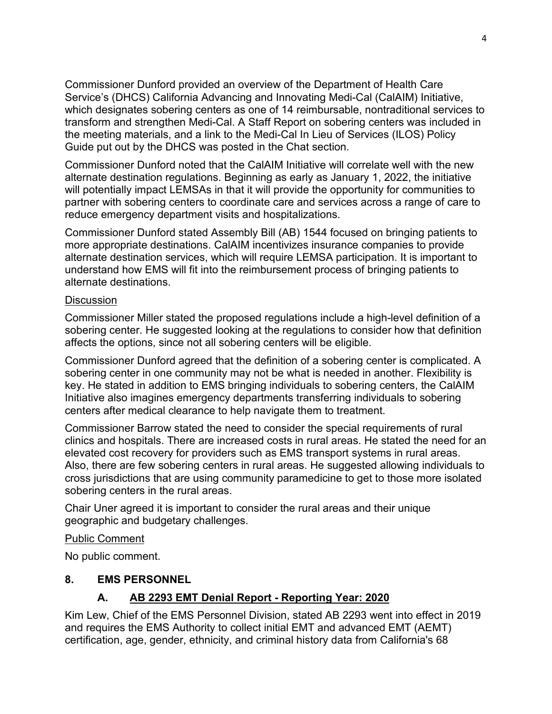Commissioner Dunford provided an overview of the Department of Health Care Service's (DHCS) California Advancing and Innovating Medi-Cal (CalAIM) Initiative, which designates sobering centers as one of 14 reimbursable, nontraditional services to transform and strengthen Medi-Cal. A Staff Report on sobering centers was included in the meeting materials, and a link to the Medi-Cal In Lieu of Services (ILOS) Policy Guide put out by the DHCS was posted in the Chat section.

Commissioner Dunford noted that the CalAIM Initiative will correlate well with the new alternate destination regulations. Beginning as early as January 1, 2022, the initiative will potentially impact LEMSAs in that it will provide the opportunity for communities to partner with sobering centers to coordinate care and services across a range of care to reduce emergency department visits and hospitalizations.

Commissioner Dunford stated Assembly Bill (AB) 1544 focused on bringing patients to more appropriate destinations. CalAIM incentivizes insurance companies to provide alternate destination services, which will require LEMSA participation. It is important to understand how EMS will fit into the reimbursement process of bringing patients to alternate destinations.

#### **Discussion**

Commissioner Miller stated the proposed regulations include a high-level definition of a sobering center. He suggested looking at the regulations to consider how that definition affects the options, since not all sobering centers will be eligible.

Commissioner Dunford agreed that the definition of a sobering center is complicated. A sobering center in one community may not be what is needed in another. Flexibility is key. He stated in addition to EMS bringing individuals to sobering centers, the CalAIM Initiative also imagines emergency departments transferring individuals to sobering centers after medical clearance to help navigate them to treatment.

Commissioner Barrow stated the need to consider the special requirements of rural clinics and hospitals. There are increased costs in rural areas. He stated the need for an elevated cost recovery for providers such as EMS transport systems in rural areas. Also, there are few sobering centers in rural areas. He suggested allowing individuals to cross jurisdictions that are using community paramedicine to get to those more isolated sobering centers in the rural areas.

Chair Uner agreed it is important to consider the rural areas and their unique geographic and budgetary challenges.

### Public Comment

No public comment.

### **8. EMS PERSONNEL**

## **A. AB 2293 EMT Denial Report - Reporting Year: 2020**

Kim Lew, Chief of the EMS Personnel Division, stated AB 2293 went into effect in 2019 and requires the EMS Authority to collect initial EMT and advanced EMT (AEMT) certification, age, gender, ethnicity, and criminal history data from California's 68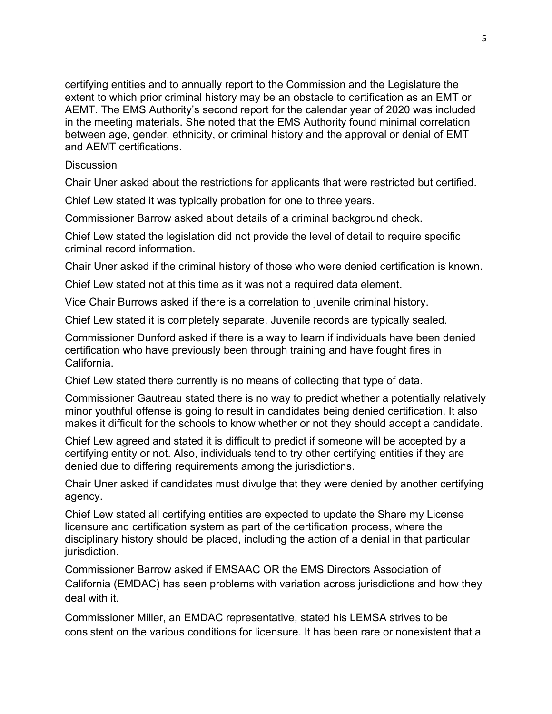certifying entities and to annually report to the Commission and the Legislature the extent to which prior criminal history may be an obstacle to certification as an EMT or AEMT. The EMS Authority's second report for the calendar year of 2020 was included in the meeting materials. She noted that the EMS Authority found minimal correlation between age, gender, ethnicity, or criminal history and the approval or denial of EMT and AEMT certifications.

#### **Discussion**

Chair Uner asked about the restrictions for applicants that were restricted but certified.

Chief Lew stated it was typically probation for one to three years.

Commissioner Barrow asked about details of a criminal background check.

Chief Lew stated the legislation did not provide the level of detail to require specific criminal record information.

Chair Uner asked if the criminal history of those who were denied certification is known.

Chief Lew stated not at this time as it was not a required data element.

Vice Chair Burrows asked if there is a correlation to juvenile criminal history.

Chief Lew stated it is completely separate. Juvenile records are typically sealed.

Commissioner Dunford asked if there is a way to learn if individuals have been denied certification who have previously been through training and have fought fires in California.

Chief Lew stated there currently is no means of collecting that type of data.

Commissioner Gautreau stated there is no way to predict whether a potentially relatively minor youthful offense is going to result in candidates being denied certification. It also makes it difficult for the schools to know whether or not they should accept a candidate.

Chief Lew agreed and stated it is difficult to predict if someone will be accepted by a certifying entity or not. Also, individuals tend to try other certifying entities if they are denied due to differing requirements among the jurisdictions.

Chair Uner asked if candidates must divulge that they were denied by another certifying agency.

Chief Lew stated all certifying entities are expected to update the Share my License licensure and certification system as part of the certification process, where the disciplinary history should be placed, including the action of a denial in that particular jurisdiction.

Commissioner Barrow asked if EMSAAC OR the EMS Directors Association of California (EMDAC) has seen problems with variation across jurisdictions and how they deal with it.

Commissioner Miller, an EMDAC representative, stated his LEMSA strives to be consistent on the various conditions for licensure. It has been rare or nonexistent that a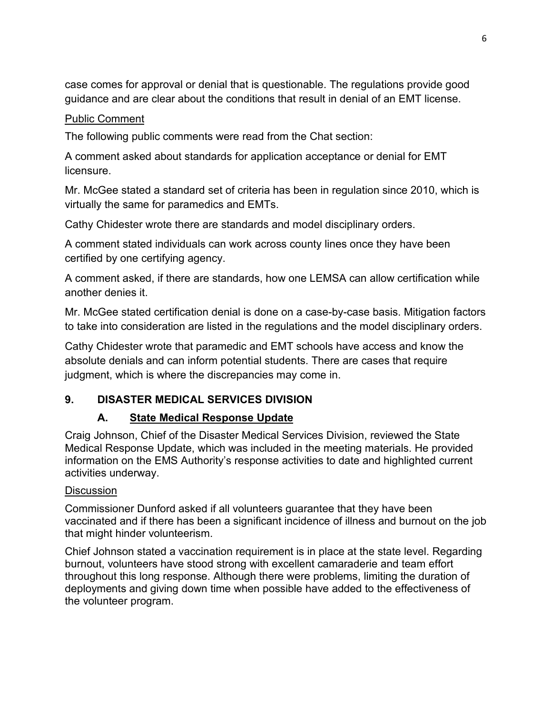case comes for approval or denial that is questionable. The regulations provide good guidance and are clear about the conditions that result in denial of an EMT license.

## Public Comment

The following public comments were read from the Chat section:

A comment asked about standards for application acceptance or denial for EMT licensure.

Mr. McGee stated a standard set of criteria has been in regulation since 2010, which is virtually the same for paramedics and EMTs.

Cathy Chidester wrote there are standards and model disciplinary orders.

A comment stated individuals can work across county lines once they have been certified by one certifying agency.

A comment asked, if there are standards, how one LEMSA can allow certification while another denies it.

Mr. McGee stated certification denial is done on a case-by-case basis. Mitigation factors to take into consideration are listed in the regulations and the model disciplinary orders.

Cathy Chidester wrote that paramedic and EMT schools have access and know the absolute denials and can inform potential students. There are cases that require judgment, which is where the discrepancies may come in.

## **9. DISASTER MEDICAL SERVICES DIVISION**

## **A. State Medical Response Update**

Craig Johnson, Chief of the Disaster Medical Services Division, reviewed the State Medical Response Update, which was included in the meeting materials. He provided information on the EMS Authority's response activities to date and highlighted current activities underway.

### **Discussion**

Commissioner Dunford asked if all volunteers guarantee that they have been vaccinated and if there has been a significant incidence of illness and burnout on the job that might hinder volunteerism.

Chief Johnson stated a vaccination requirement is in place at the state level. Regarding burnout, volunteers have stood strong with excellent camaraderie and team effort throughout this long response. Although there were problems, limiting the duration of deployments and giving down time when possible have added to the effectiveness of the volunteer program.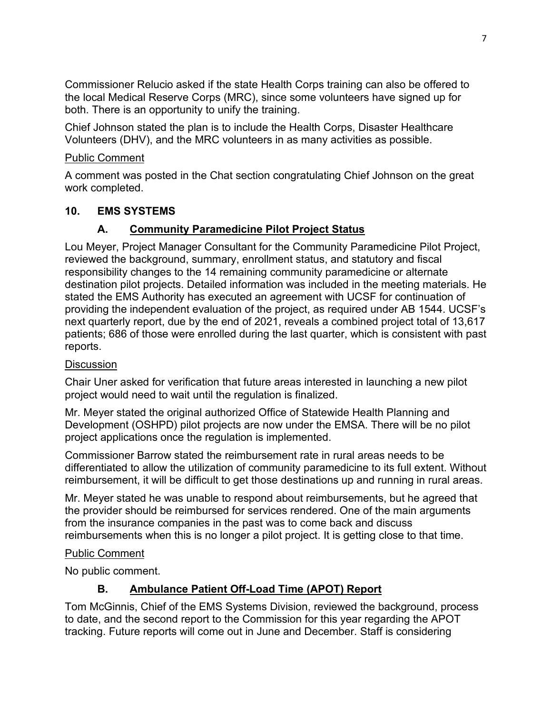Commissioner Relucio asked if the state Health Corps training can also be offered to the local Medical Reserve Corps (MRC), since some volunteers have signed up for both. There is an opportunity to unify the training.

Chief Johnson stated the plan is to include the Health Corps, Disaster Healthcare Volunteers (DHV), and the MRC volunteers in as many activities as possible.

### Public Comment

A comment was posted in the Chat section congratulating Chief Johnson on the great work completed.

## **10. EMS SYSTEMS**

## **A. Community Paramedicine Pilot Project Status**

Lou Meyer, Project Manager Consultant for the Community Paramedicine Pilot Project, reviewed the background, summary, enrollment status, and statutory and fiscal responsibility changes to the 14 remaining community paramedicine or alternate destination pilot projects. Detailed information was included in the meeting materials. He stated the EMS Authority has executed an agreement with UCSF for continuation of providing the independent evaluation of the project, as required under AB 1544. UCSF's next quarterly report, due by the end of 2021, reveals a combined project total of 13,617 patients; 686 of those were enrolled during the last quarter, which is consistent with past reports.

## **Discussion**

Chair Uner asked for verification that future areas interested in launching a new pilot project would need to wait until the regulation is finalized.

Mr. Meyer stated the original authorized Office of Statewide Health Planning and Development (OSHPD) pilot projects are now under the EMSA. There will be no pilot project applications once the regulation is implemented.

Commissioner Barrow stated the reimbursement rate in rural areas needs to be differentiated to allow the utilization of community paramedicine to its full extent. Without reimbursement, it will be difficult to get those destinations up and running in rural areas.

Mr. Meyer stated he was unable to respond about reimbursements, but he agreed that the provider should be reimbursed for services rendered. One of the main arguments from the insurance companies in the past was to come back and discuss reimbursements when this is no longer a pilot project. It is getting close to that time.

### Public Comment

No public comment.

## **B. Ambulance Patient Off-Load Time (APOT) Report**

Tom McGinnis, Chief of the EMS Systems Division, reviewed the background, process to date, and the second report to the Commission for this year regarding the APOT tracking. Future reports will come out in June and December. Staff is considering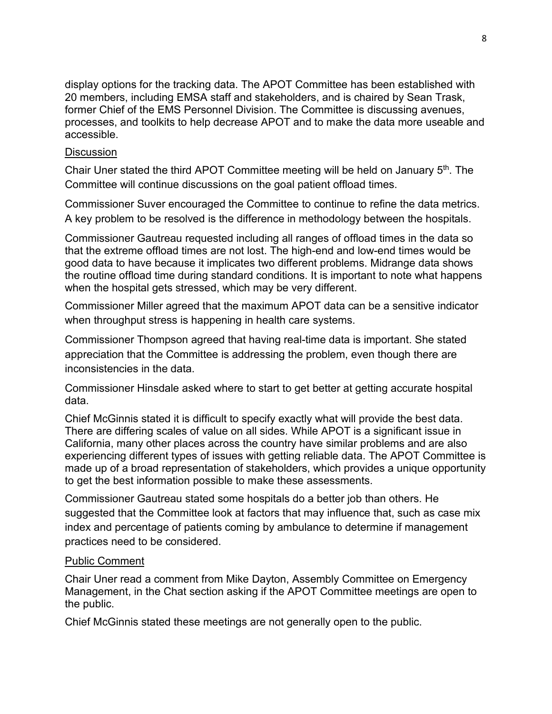display options for the tracking data. The APOT Committee has been established with 20 members, including EMSA staff and stakeholders, and is chaired by Sean Trask, former Chief of the EMS Personnel Division. The Committee is discussing avenues, processes, and toolkits to help decrease APOT and to make the data more useable and accessible.

#### **Discussion**

Chair Uner stated the third APOT Committee meeting will be held on January 5<sup>th</sup>. The Committee will continue discussions on the goal patient offload times.

Commissioner Suver encouraged the Committee to continue to refine the data metrics. A key problem to be resolved is the difference in methodology between the hospitals.

Commissioner Gautreau requested including all ranges of offload times in the data so that the extreme offload times are not lost. The high-end and low-end times would be good data to have because it implicates two different problems. Midrange data shows the routine offload time during standard conditions. It is important to note what happens when the hospital gets stressed, which may be very different.

Commissioner Miller agreed that the maximum APOT data can be a sensitive indicator when throughput stress is happening in health care systems.

Commissioner Thompson agreed that having real-time data is important. She stated appreciation that the Committee is addressing the problem, even though there are inconsistencies in the data.

Commissioner Hinsdale asked where to start to get better at getting accurate hospital data.

Chief McGinnis stated it is difficult to specify exactly what will provide the best data. There are differing scales of value on all sides. While APOT is a significant issue in California, many other places across the country have similar problems and are also experiencing different types of issues with getting reliable data. The APOT Committee is made up of a broad representation of stakeholders, which provides a unique opportunity to get the best information possible to make these assessments.

Commissioner Gautreau stated some hospitals do a better job than others. He suggested that the Committee look at factors that may influence that, such as case mix index and percentage of patients coming by ambulance to determine if management practices need to be considered.

### Public Comment

Chair Uner read a comment from Mike Dayton, Assembly Committee on Emergency Management, in the Chat section asking if the APOT Committee meetings are open to the public.

Chief McGinnis stated these meetings are not generally open to the public.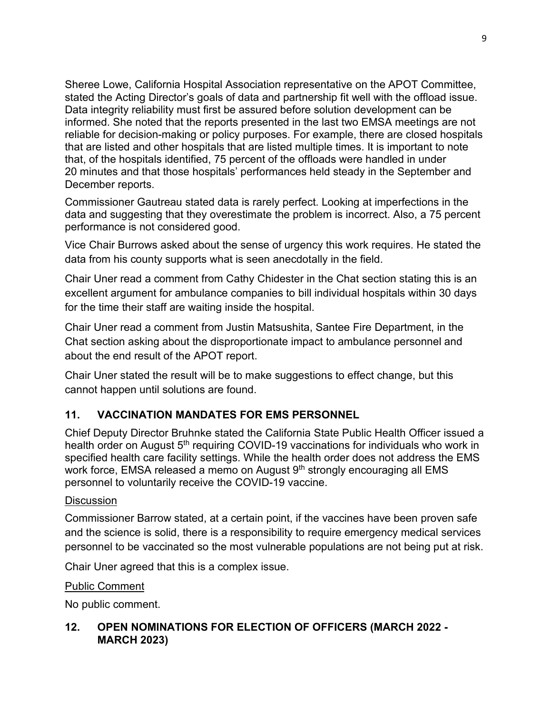Sheree Lowe, California Hospital Association representative on the APOT Committee, stated the Acting Director's goals of data and partnership fit well with the offload issue. Data integrity reliability must first be assured before solution development can be informed. She noted that the reports presented in the last two EMSA meetings are not reliable for decision-making or policy purposes. For example, there are closed hospitals that are listed and other hospitals that are listed multiple times. It is important to note that, of the hospitals identified, 75 percent of the offloads were handled in under 20 minutes and that those hospitals' performances held steady in the September and December reports.

Commissioner Gautreau stated data is rarely perfect. Looking at imperfections in the data and suggesting that they overestimate the problem is incorrect. Also, a 75 percent performance is not considered good.

Vice Chair Burrows asked about the sense of urgency this work requires. He stated the data from his county supports what is seen anecdotally in the field.

Chair Uner read a comment from Cathy Chidester in the Chat section stating this is an excellent argument for ambulance companies to bill individual hospitals within 30 days for the time their staff are waiting inside the hospital.

Chair Uner read a comment from Justin Matsushita, Santee Fire Department, in the Chat section asking about the disproportionate impact to ambulance personnel and about the end result of the APOT report.

Chair Uner stated the result will be to make suggestions to effect change, but this cannot happen until solutions are found.

## **11. VACCINATION MANDATES FOR EMS PERSONNEL**

Chief Deputy Director Bruhnke stated the California State Public Health Officer issued a health order on August 5<sup>th</sup> requiring COVID-19 vaccinations for individuals who work in specified health care facility settings. While the health order does not address the EMS work force, EMSA released a memo on August 9<sup>th</sup> strongly encouraging all EMS personnel to voluntarily receive the COVID-19 vaccine.

### **Discussion**

Commissioner Barrow stated, at a certain point, if the vaccines have been proven safe and the science is solid, there is a responsibility to require emergency medical services personnel to be vaccinated so the most vulnerable populations are not being put at risk.

Chair Uner agreed that this is a complex issue.

Public Comment

No public comment.

## **12. OPEN NOMINATIONS FOR ELECTION OF OFFICERS (MARCH 2022 - MARCH 2023)**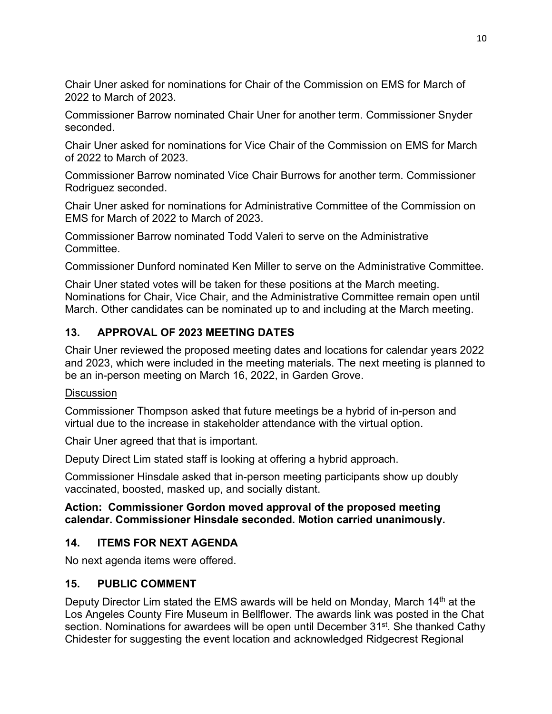Chair Uner asked for nominations for Chair of the Commission on EMS for March of 2022 to March of 2023.

Commissioner Barrow nominated Chair Uner for another term. Commissioner Snyder seconded.

Chair Uner asked for nominations for Vice Chair of the Commission on EMS for March of 2022 to March of 2023.

Commissioner Barrow nominated Vice Chair Burrows for another term. Commissioner Rodriguez seconded.

Chair Uner asked for nominations for Administrative Committee of the Commission on EMS for March of 2022 to March of 2023.

Commissioner Barrow nominated Todd Valeri to serve on the Administrative **Committee** 

Commissioner Dunford nominated Ken Miller to serve on the Administrative Committee.

Chair Uner stated votes will be taken for these positions at the March meeting. Nominations for Chair, Vice Chair, and the Administrative Committee remain open until March. Other candidates can be nominated up to and including at the March meeting.

## **13. APPROVAL OF 2023 MEETING DATES**

Chair Uner reviewed the proposed meeting dates and locations for calendar years 2022 and 2023, which were included in the meeting materials. The next meeting is planned to be an in-person meeting on March 16, 2022, in Garden Grove.

### **Discussion**

Commissioner Thompson asked that future meetings be a hybrid of in-person and virtual due to the increase in stakeholder attendance with the virtual option.

Chair Uner agreed that that is important.

Deputy Direct Lim stated staff is looking at offering a hybrid approach.

Commissioner Hinsdale asked that in-person meeting participants show up doubly vaccinated, boosted, masked up, and socially distant.

### **Action: Commissioner Gordon moved approval of the proposed meeting calendar. Commissioner Hinsdale seconded. Motion carried unanimously.**

## **14. ITEMS FOR NEXT AGENDA**

No next agenda items were offered.

## **15. PUBLIC COMMENT**

Deputy Director Lim stated the EMS awards will be held on Monday, March 14<sup>th</sup> at the Los Angeles County Fire Museum in Bellflower. The awards link was posted in the Chat section. Nominations for awardees will be open until December 31<sup>st</sup>. She thanked Cathy Chidester for suggesting the event location and acknowledged Ridgecrest Regional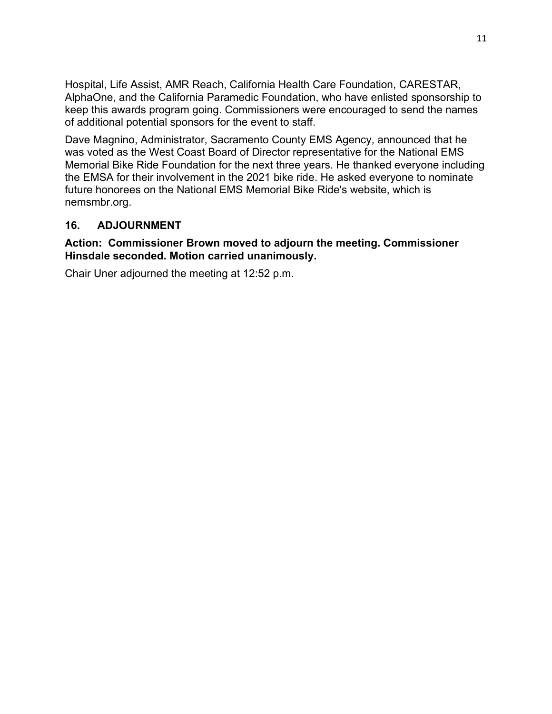Hospital, Life Assist, AMR Reach, California Health Care Foundation, CARESTAR, AlphaOne, and the California Paramedic Foundation, who have enlisted sponsorship to keep this awards program going. Commissioners were encouraged to send the names of additional potential sponsors for the event to staff.

Dave Magnino, Administrator, Sacramento County EMS Agency, announced that he was voted as the West Coast Board of Director representative for the National EMS Memorial Bike Ride Foundation for the next three years. He thanked everyone including the EMSA for their involvement in the 2021 bike ride. He asked everyone to nominate future honorees on the National EMS Memorial Bike Ride's website, which is nemsmbr.org.

### **16. ADJOURNMENT**

#### **Action: Commissioner Brown moved to adjourn the meeting. Commissioner Hinsdale seconded. Motion carried unanimously.**

Chair Uner adjourned the meeting at 12:52 p.m.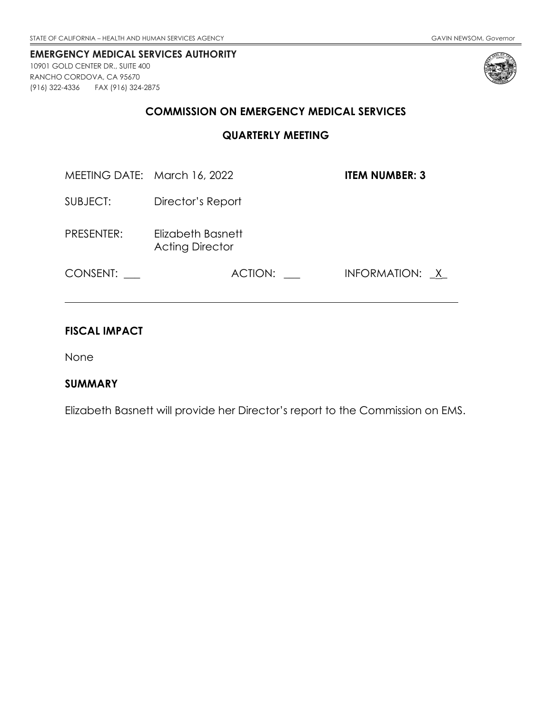<span id="page-14-0"></span>10901 GOLD CENTER DR., SUITE 400 RANCHO CORDOVA, CA 95670 (916) 322-4336 FAX (916) 324-2875



#### **COMMISSION ON EMERGENCY MEDICAL SERVICES**

**QUARTERLY MEETING**

MEETING DATE: March 16, 2022 **ITEM NUMBER: 3**

SUBJECT: Director's Report

PRESENTER: Elizabeth Basnett Acting Director

CONSENT: \_\_\_ ACTION: \_\_ INFORMATION: <u>X</u>

### **FISCAL IMPACT**

None

### **SUMMARY**

Elizabeth Basnett will provide her Director's report to the Commission on EMS.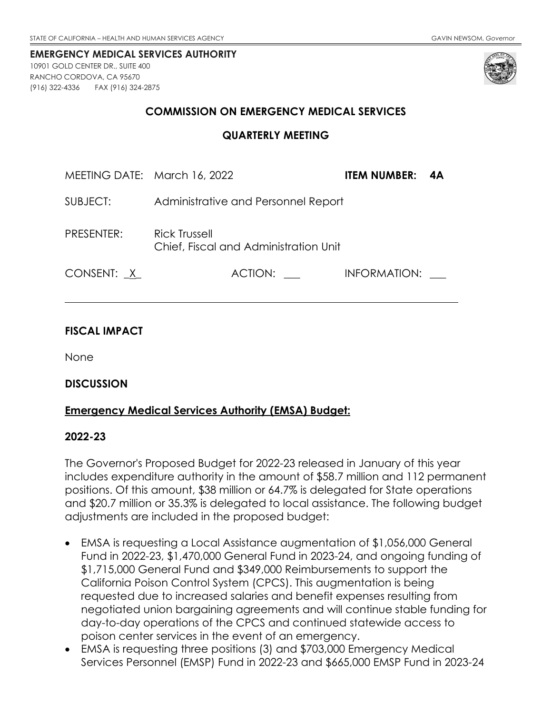<span id="page-15-0"></span>10901 GOLD CENTER DR., SUITE 400 RANCHO CORDOVA, CA 95670 (916) 322-4336 FAX (916) 324-2875



### **COMMISSION ON EMERGENCY MEDICAL SERVICES**

#### **QUARTERLY MEETING**

| MEETING DATE: March 16, 2022 |                                                               | ITEM NUMBER: 4A |  |
|------------------------------|---------------------------------------------------------------|-----------------|--|
| SUBJECT:                     | Administrative and Personnel Report                           |                 |  |
| PRESENTER:                   | <b>Rick Trussell</b><br>Chief, Fiscal and Administration Unit |                 |  |
| CONSENT: X                   | ACTION:                                                       | INFORMATION:    |  |

### **FISCAL IMPACT**

None

#### **DISCUSSION**

#### **Emergency Medical Services Authority (EMSA) Budget:**

#### **2022-23**

The Governor's Proposed Budget for 2022-23 released in January of this year includes expenditure authority in the amount of \$58.7 million and 112 permanent positions. Of this amount, \$38 million or 64.7% is delegated for State operations and \$20.7 million or 35.3% is delegated to local assistance. The following budget adjustments are included in the proposed budget:

- EMSA is requesting a Local Assistance augmentation of \$1,056,000 General Fund in 2022-23, \$1,470,000 General Fund in 2023-24, and ongoing funding of \$1,715,000 General Fund and \$349,000 Reimbursements to support the California Poison Control System (CPCS). This augmentation is being requested due to increased salaries and benefit expenses resulting from negotiated union bargaining agreements and will continue stable funding for day-to-day operations of the CPCS and continued statewide access to poison center services in the event of an emergency.
- EMSA is requesting three positions (3) and \$703,000 Emergency Medical Services Personnel (EMSP) Fund in 2022-23 and \$665,000 EMSP Fund in 2023-24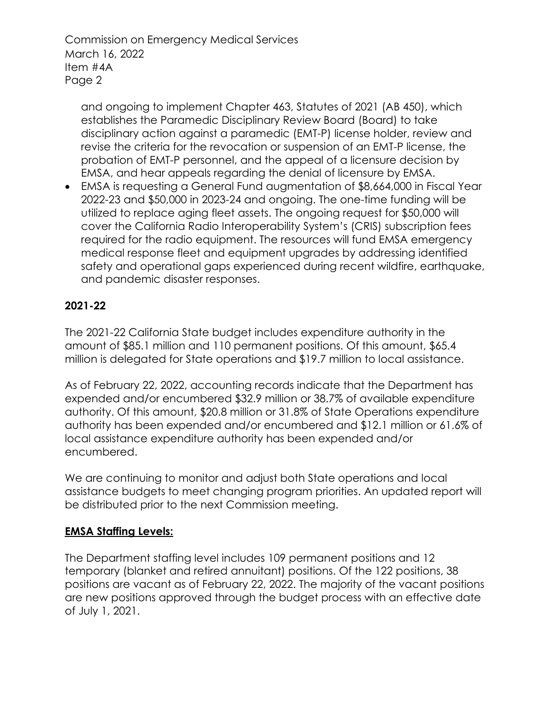Commission on Emergency Medical Services March 16, 2022 Item #4A Page 2

and ongoing to implement Chapter 463, Statutes of 2021 (AB 450), which establishes the Paramedic Disciplinary Review Board (Board) to take disciplinary action against a paramedic (EMT-P) license holder, review and revise the criteria for the revocation or suspension of an EMT-P license, the probation of EMT-P personnel, and the appeal of a licensure decision by EMSA, and hear appeals regarding the denial of licensure by EMSA.

• EMSA is requesting a General Fund augmentation of \$8,664,000 in Fiscal Year 2022-23 and \$50,000 in 2023-24 and ongoing. The one-time funding will be utilized to replace aging fleet assets. The ongoing request for \$50,000 will cover the California Radio Interoperability System's (CRIS) subscription fees required for the radio equipment. The resources will fund EMSA emergency medical response fleet and equipment upgrades by addressing identified safety and operational gaps experienced during recent wildfire, earthquake, and pandemic disaster responses.

## **2021-22**

The 2021-22 California State budget includes expenditure authority in the amount of \$85.1 million and 110 permanent positions. Of this amount, \$65.4 million is delegated for State operations and \$19.7 million to local assistance.

As of February 22, 2022, accounting records indicate that the Department has expended and/or encumbered \$32.9 million or 38.7% of available expenditure authority. Of this amount, \$20.8 million or 31.8% of State Operations expenditure authority has been expended and/or encumbered and \$12.1 million or 61.6% of local assistance expenditure authority has been expended and/or encumbered.

We are continuing to monitor and adjust both State operations and local assistance budgets to meet changing program priorities. An updated report will be distributed prior to the next Commission meeting.

## **EMSA Staffing Levels:**

The Department staffing level includes 109 permanent positions and 12 temporary (blanket and retired annuitant) positions. Of the 122 positions, 38 positions are vacant as of February 22, 2022. The majority of the vacant positions are new positions approved through the budget process with an effective date of July 1, 2021.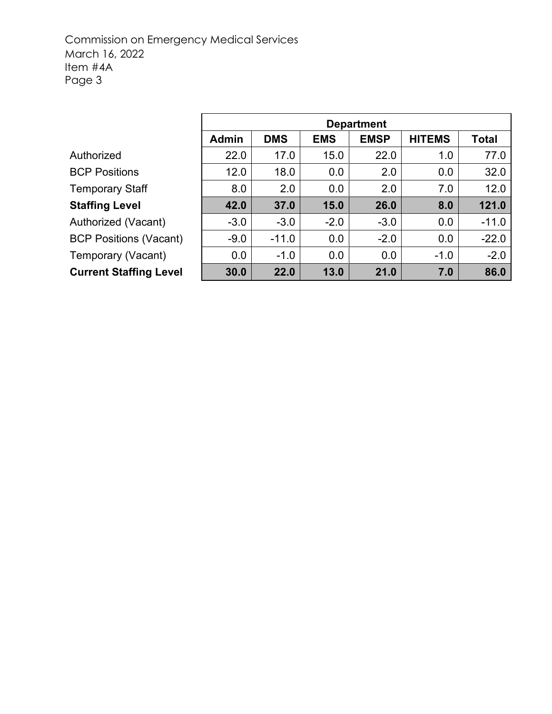## Commission on Emergency Medical Services March 16, 2022 Item #4A Page 3

|                               | <b>Department</b> |            |            |             |               |              |
|-------------------------------|-------------------|------------|------------|-------------|---------------|--------------|
|                               | <b>Admin</b>      | <b>DMS</b> | <b>EMS</b> | <b>EMSP</b> | <b>HITEMS</b> | <b>Total</b> |
| Authorized                    | 22.0              | 17.0       | 15.0       | 22.0        | 1.0           | 77.0         |
| <b>BCP Positions</b>          | 12.0              | 18.0       | 0.0        | 2.0         | 0.0           | 32.0         |
| Temporary Staff               | 8.0               | 2.0        | 0.0        | 2.0         | 7.0           | 12.0         |
| <b>Staffing Level</b>         | 42.0              | 37.0       | 15.0       | 26.0        | 8.0           | 121.0        |
| <b>Authorized (Vacant)</b>    | $-3.0$            | $-3.0$     | $-2.0$     | $-3.0$      | 0.0           | $-11.0$      |
| <b>BCP Positions (Vacant)</b> | $-9.0$            | $-11.0$    | 0.0        | $-2.0$      | 0.0           | $-22.0$      |
| Temporary (Vacant)            | 0.0               | $-1.0$     | 0.0        | 0.0         | $-1.0$        | $-2.0$       |
| <b>Current Staffing Level</b> | 30.0              | 22.0       | 13.0       | 21.0        | 7.0           | 86.0         |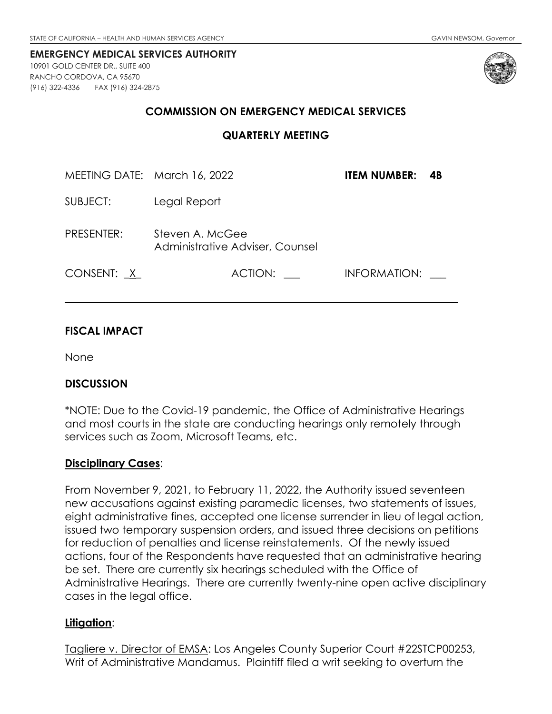<span id="page-18-0"></span>10901 GOLD CENTER DR., SUITE 400 RANCHO CORDOVA, CA 95670 (916) 322-4336 FAX (916) 324-2875



#### **COMMISSION ON EMERGENCY MEDICAL SERVICES**

**QUARTERLY MEETING**

| MEETING DATE: March 16, 2022 |                                                    | <b>ITEM NUMBER:</b><br>- 4B |  |
|------------------------------|----------------------------------------------------|-----------------------------|--|
| SUBJECT:                     | Legal Report                                       |                             |  |
| PRESENTER:                   | Steven A. McGee<br>Administrative Adviser, Counsel |                             |  |
| CONSENT: X                   | ACTION:                                            | INFORMATION:                |  |

### **FISCAL IMPACT**

None

### **DISCUSSION**

\*NOTE: Due to the Covid-19 pandemic, the Office of Administrative Hearings and most courts in the state are conducting hearings only remotely through services such as Zoom, Microsoft Teams, etc.

### **Disciplinary Cases**:

From November 9, 2021, to February 11, 2022, the Authority issued seventeen new accusations against existing paramedic licenses, two statements of issues, eight administrative fines, accepted one license surrender in lieu of legal action, issued two temporary suspension orders, and issued three decisions on petitions for reduction of penalties and license reinstatements. Of the newly issued actions, four of the Respondents have requested that an administrative hearing be set. There are currently six hearings scheduled with the Office of Administrative Hearings. There are currently twenty-nine open active disciplinary cases in the legal office.

#### **Litigation**:

Tagliere v. Director of EMSA: Los Angeles County Superior Court #22STCP00253, Writ of Administrative Mandamus. Plaintiff filed a writ seeking to overturn the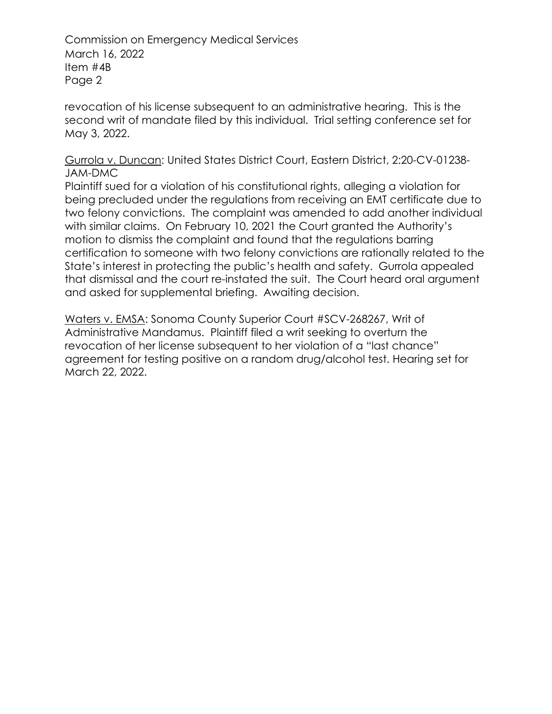Commission on Emergency Medical Services March 16, 2022 Item #4B Page 2

revocation of his license subsequent to an administrative hearing. This is the second writ of mandate filed by this individual. Trial setting conference set for May 3, 2022.

### Gurrola v. Duncan: United States District Court, Eastern District, 2:20-CV-01238- JAM-DMC

Plaintiff sued for a violation of his constitutional rights, alleging a violation for being precluded under the regulations from receiving an EMT certificate due to two felony convictions. The complaint was amended to add another individual with similar claims. On February 10, 2021 the Court granted the Authority's motion to dismiss the complaint and found that the regulations barring certification to someone with two felony convictions are rationally related to the State's interest in protecting the public's health and safety. Gurrola appealed that dismissal and the court re-instated the suit. The Court heard oral argument and asked for supplemental briefing. Awaiting decision.

Waters v. EMSA: Sonoma County Superior Court #SCV-268267, Writ of Administrative Mandamus. Plaintiff filed a writ seeking to overturn the revocation of her license subsequent to her violation of a "last chance" agreement for testing positive on a random drug/alcohol test. Hearing set for March 22, 2022.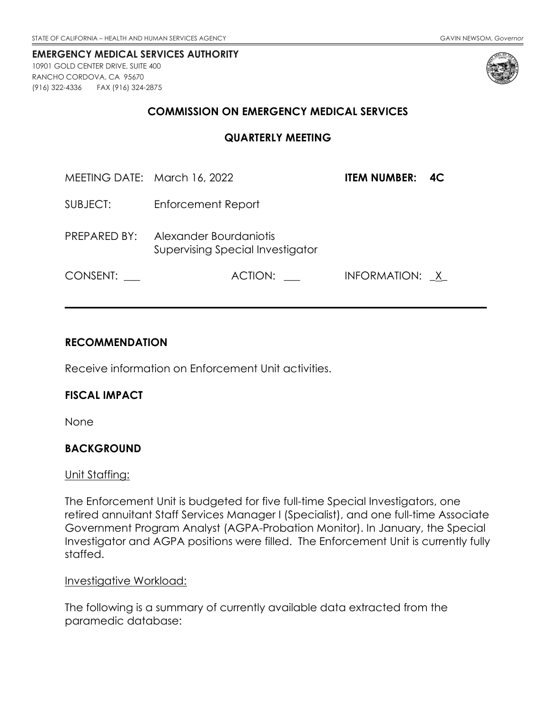<span id="page-20-0"></span>10901 GOLD CENTER DRIVE, SUITE 400 RANCHO CORDOVA, CA 95670 (916) 322-4336 FAX (916) 324-2875



### **COMMISSION ON EMERGENCY MEDICAL SERVICES**

**QUARTERLY MEETING**

|              | MEETING DATE: March 16, 2022                               | <b>ITEM NUMBER: 4C</b> |  |
|--------------|------------------------------------------------------------|------------------------|--|
| SUBJECT:     | Enforcement Report                                         |                        |  |
| PREPARED BY: | Alexander Bourdaniotis<br>Supervising Special Investigator |                        |  |
| CONSENT:     | ACTION:                                                    | INFORMATION: X         |  |

**\_\_\_\_\_\_\_\_\_\_\_\_\_\_\_\_\_\_\_\_\_\_\_\_\_\_\_\_\_\_\_\_\_\_\_\_\_\_\_\_\_\_\_\_\_\_\_\_\_\_\_\_\_\_\_\_\_\_\_\_\_\_\_\_\_\_\_\_\_\_\_\_\_\_\_\_\_\_**

### **RECOMMENDATION**

Receive information on Enforcement Unit activities.

### **FISCAL IMPACT**

None

### **BACKGROUND**

#### Unit Staffing:

The Enforcement Unit is budgeted for five full-time Special Investigators, one retired annuitant Staff Services Manager I (Specialist), and one full-time Associate Government Program Analyst (AGPA-Probation Monitor). In January, the Special Investigator and AGPA positions were filled. The Enforcement Unit is currently fully staffed.

#### Investigative Workload:

The following is a summary of currently available data extracted from the paramedic database: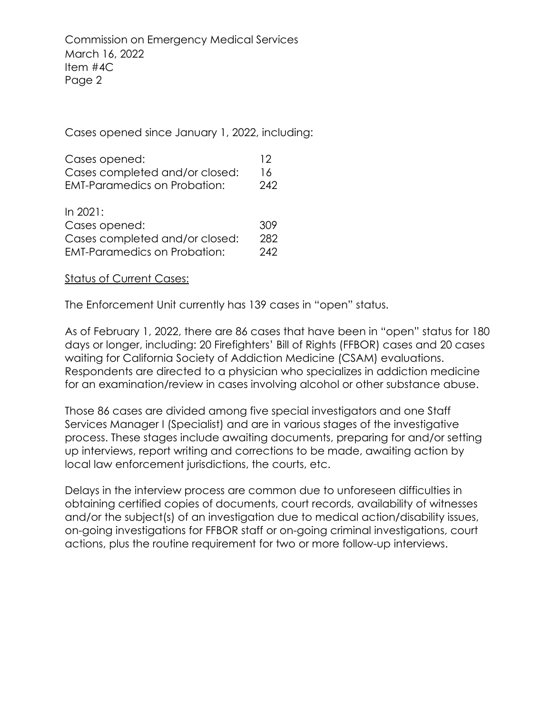Cases opened since January 1, 2022, including:

| Cases opened:                       | 12  |
|-------------------------------------|-----|
| Cases completed and/or closed:      | 16. |
| <b>EMT-Paramedics on Probation:</b> | 242 |
|                                     |     |

| In 2021:                            |     |
|-------------------------------------|-----|
| Cases opened:                       | 309 |
| Cases completed and/or closed:      | 282 |
| <b>EMT-Paramedics on Probation:</b> | 242 |

Status of Current Cases:

The Enforcement Unit currently has 139 cases in "open" status.

As of February 1, 2022, there are 86 cases that have been in "open" status for 180 days or longer, including: 20 Firefighters' Bill of Rights (FFBOR) cases and 20 cases waiting for California Society of Addiction Medicine (CSAM) evaluations. Respondents are directed to a physician who specializes in addiction medicine for an examination/review in cases involving alcohol or other substance abuse.

Those 86 cases are divided among five special investigators and one Staff Services Manager I (Specialist) and are in various stages of the investigative process. These stages include awaiting documents, preparing for and/or setting up interviews, report writing and corrections to be made, awaiting action by local law enforcement jurisdictions, the courts, etc.

Delays in the interview process are common due to unforeseen difficulties in obtaining certified copies of documents, court records, availability of witnesses and/or the subject(s) of an investigation due to medical action/disability issues, on-going investigations for FFBOR staff or on-going criminal investigations, court actions, plus the routine requirement for two or more follow-up interviews.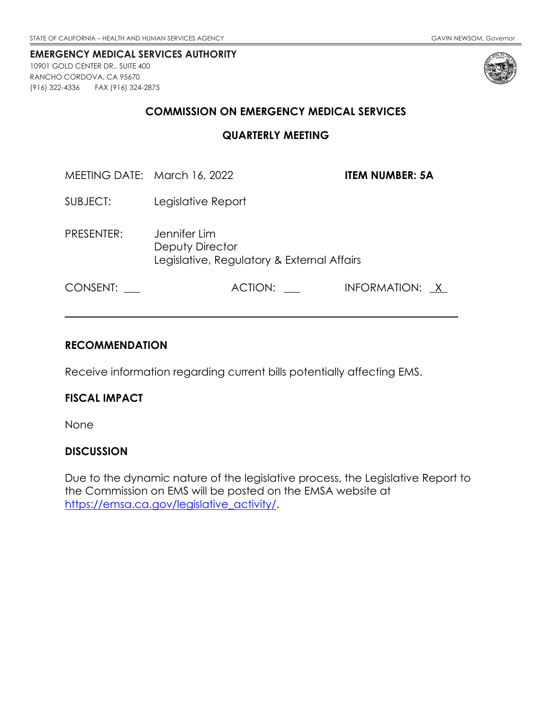<span id="page-22-0"></span>10901 GOLD CENTER DR., SUITE 400 RANCHO CORDOVA, CA 95670 (916) 322-4336 FAX (916) 324-2875



#### **COMMISSION ON EMERGENCY MEDICAL SERVICES**

#### **QUARTERLY MEETING**

MEETING DATE: March 16, 2022 **ITEM NUMBER: 5A**

- SUBJECT: Legislative Report
- PRESENTER: Jennifer Lim Deputy Director Legislative, Regulatory & External Affairs

CONSENT: \_\_\_ ACTION: \_\_ INFORMATION: <u>X</u>

### **RECOMMENDATION**

Receive information regarding current bills potentially affecting EMS.

### **FISCAL IMPACT**

None

### **DISCUSSION**

Due to the dynamic nature of the legislative process, the Legislative Report to the Commission on EMS will be posted on the EMSA website at [https://emsa.ca.gov/legislative\\_activity/.](https://emsa.ca.gov/legislative_activity/)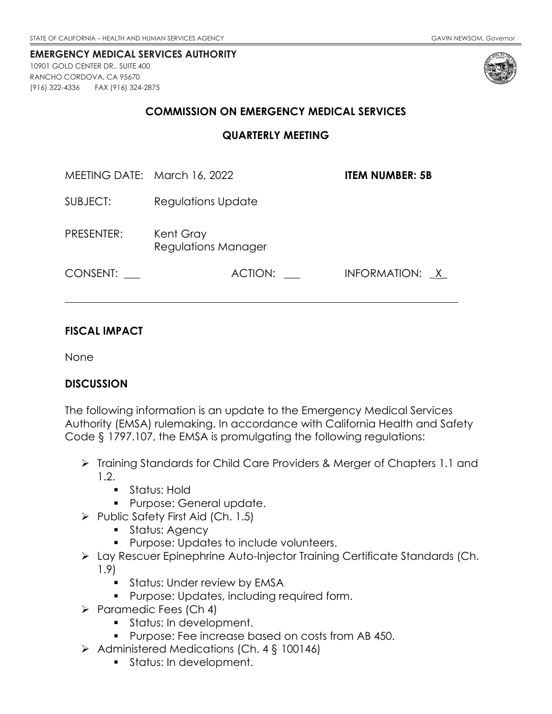<span id="page-23-0"></span>10901 GOLD CENTER DR., SUITE 400 RANCHO CORDOVA, CA 95670 (916) 322-4336 FAX (916) 324-2875



#### **COMMISSION ON EMERGENCY MEDICAL SERVICES**

**QUARTERLY MEETING**

| MEETING DATE: March 16, 2022 |                                  | <b>ITEM NUMBER: 5B</b> |  |  |
|------------------------------|----------------------------------|------------------------|--|--|
| SUBJECT:                     | Regulations Update               |                        |  |  |
| PRESENTER:                   | Kent Gray<br>Regulations Manager |                        |  |  |
| CONSENT:                     | ACTION:                          | INFORMATION: X         |  |  |

### **FISCAL IMPACT**

None

### **DISCUSSION**

The following information is an update to the Emergency Medical Services Authority (EMSA) rulemaking. In accordance with California Health and Safety Code § 1797.107, the EMSA is promulgating the following regulations:

- > Training Standards for Child Care Providers & Merger of Chapters 1.1 and 1.2.
	- **Status: Hold**
	- **Purpose: General update.**
- $\triangleright$  Public Safety First Aid (Ch. 1.5)
	- **Status: Agency**
	- **Purpose: Updates to include volunteers.**
- Lay Rescuer Epinephrine Auto-Injector Training Certificate Standards (Ch. 1.9)
	- **Status: Under review by EMSA**
	- **Purpose: Updates, including required form.**
- $\triangleright$  Paramedic Fees (Ch 4)
	- Status: In development.
	- **Purpose: Fee increase based on costs from AB 450.**
- $\triangleright$  Administered Medications (Ch. 4 § 100146)
	- **Status: In development.**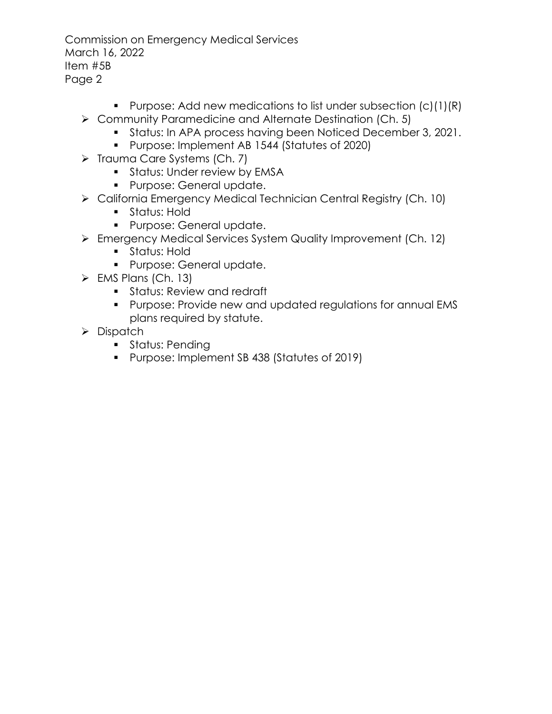Commission on Emergency Medical Services March 16, 2022 Item #5B Page 2

- **Purpose: Add new medications to list under subsection (c)(1)(R)**
- ▶ Community Paramedicine and Alternate Destination (Ch. 5)
	- **Status: In APA process having been Noticed December 3, 2021.**
	- **Purpose: Implement AB 1544 (Statutes of 2020)**
- $\triangleright$  Trauma Care Systems (Ch. 7)
	- **Status: Under review by EMSA**
	- **Purpose: General update.**
- California Emergency Medical Technician Central Registry (Ch. 10)
	- **Status: Hold**
	- **Purpose: General update.**
- Emergency Medical Services System Quality Improvement (Ch. 12)
	- **Status: Hold**
	- **Purpose: General update.**
- $\triangleright$  EMS Plans (Ch. 13)
	- **Status: Review and redraft**
	- Purpose: Provide new and updated regulations for annual EMS plans required by statute.
- $\triangleright$  Dispatch
	- **Status: Pending**
	- **Purpose: Implement SB 438 (Statutes of 2019)**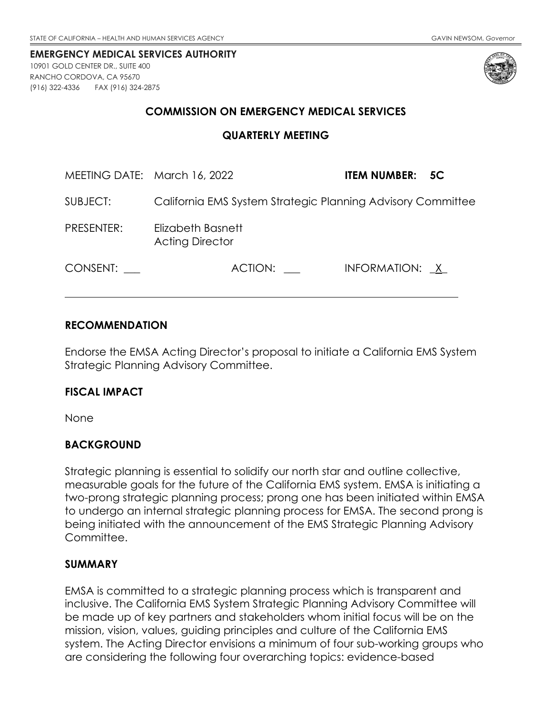<span id="page-25-0"></span>10901 GOLD CENTER DR., SUITE 400 RANCHO CORDOVA, CA 95670 (916) 322-4336 FAX (916) 324-2875



### **COMMISSION ON EMERGENCY MEDICAL SERVICES**

#### **QUARTERLY MEETING**

| MEETING DATE: March 16, 2022 |                                                             | <b>ITEM NUMBER: 5C</b> |
|------------------------------|-------------------------------------------------------------|------------------------|
| SUBJECT:                     | California EMS System Strategic Planning Advisory Committee |                        |
| PRESENTER:                   | Elizabeth Basnett<br><b>Acting Director</b>                 |                        |
| CONSENT:                     | ACTION:                                                     | INFORMATION: X         |

#### **RECOMMENDATION**

Endorse the EMSA Acting Director's proposal to initiate a California EMS System Strategic Planning Advisory Committee.

### **FISCAL IMPACT**

None

### **BACKGROUND**

Strategic planning is essential to solidify our north star and outline collective, measurable goals for the future of the California EMS system. EMSA is initiating a two-prong strategic planning process; prong one has been initiated within EMSA to undergo an internal strategic planning process for EMSA. The second prong is being initiated with the announcement of the EMS Strategic Planning Advisory Committee.

### **SUMMARY**

EMSA is committed to a strategic planning process which is transparent and inclusive. The California EMS System Strategic Planning Advisory Committee will be made up of key partners and stakeholders whom initial focus will be on the mission, vision, values, guiding principles and culture of the California EMS system. The Acting Director envisions a minimum of four sub-working groups who are considering the following four overarching topics: evidence-based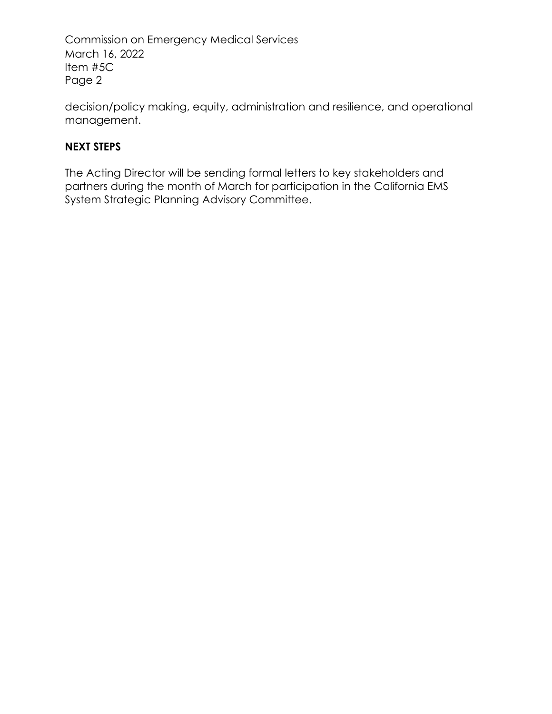Commission on Emergency Medical Services March 16, 2022 Item #5C Page 2

decision/policy making, equity, administration and resilience, and operational management.

## **NEXT STEPS**

The Acting Director will be sending formal letters to key stakeholders and partners during the month of March for participation in the California EMS System Strategic Planning Advisory Committee.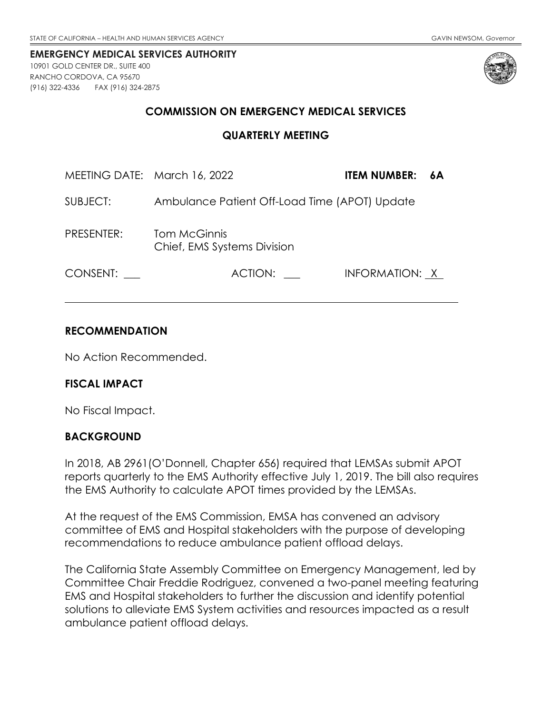<span id="page-27-0"></span>10901 GOLD CENTER DR., SUITE 400 RANCHO CORDOVA, CA 95670 (916) 322-4336 FAX (916) 324-2875



### **COMMISSION ON EMERGENCY MEDICAL SERVICES**

#### **QUARTERLY MEETING**

| MEETING DATE: March 16, 2022 |                                                    | <b>ITEM NUMBER:</b> | - 6A |
|------------------------------|----------------------------------------------------|---------------------|------|
| SUBJECT:                     | Ambulance Patient Off-Load Time (APOT) Update      |                     |      |
| PRESENTER:                   | <b>Tom McGinnis</b><br>Chief, EMS Systems Division |                     |      |
| CONSENT:                     | ACTION:                                            | INFORMATION: X      |      |

### **RECOMMENDATION**

No Action Recommended.

### **FISCAL IMPACT**

No Fiscal Impact.

### **BACKGROUND**

In 2018, AB 2961(O'Donnell, Chapter 656) required that LEMSAs submit APOT reports quarterly to the EMS Authority effective July 1, 2019. The bill also requires the EMS Authority to calculate APOT times provided by the LEMSAs.

At the request of the EMS Commission, EMSA has convened an advisory committee of EMS and Hospital stakeholders with the purpose of developing recommendations to reduce ambulance patient offload delays.

The California State Assembly Committee on Emergency Management, led by Committee Chair Freddie Rodriguez, convened a two-panel meeting featuring EMS and Hospital stakeholders to further the discussion and identify potential solutions to alleviate EMS System activities and resources impacted as a result ambulance patient offload delays.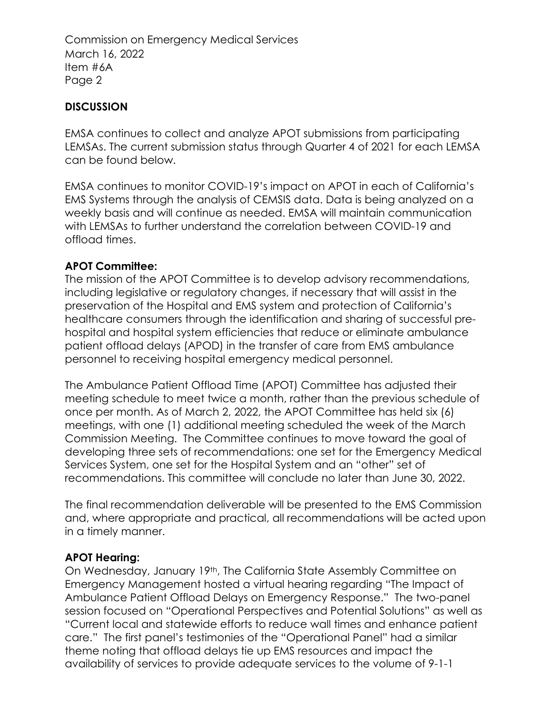Commission on Emergency Medical Services March 16, 2022 Item #6A Page 2

## **DISCUSSION**

EMSA continues to collect and analyze APOT submissions from participating LEMSAs. The current submission status through Quarter 4 of 2021 for each LEMSA can be found below.

EMSA continues to monitor COVID-19's impact on APOT in each of California's EMS Systems through the analysis of CEMSIS data. Data is being analyzed on a weekly basis and will continue as needed. EMSA will maintain communication with LEMSAs to further understand the correlation between COVID-19 and offload times.

## **APOT Committee:**

The mission of the APOT Committee is to develop advisory recommendations, including legislative or regulatory changes, if necessary that will assist in the preservation of the Hospital and EMS system and protection of California's healthcare consumers through the identification and sharing of successful prehospital and hospital system efficiencies that reduce or eliminate ambulance patient offload delays (APOD) in the transfer of care from EMS ambulance personnel to receiving hospital emergency medical personnel.

The Ambulance Patient Offload Time (APOT) Committee has adjusted their meeting schedule to meet twice a month, rather than the previous schedule of once per month. As of March 2, 2022, the APOT Committee has held six (6) meetings, with one (1) additional meeting scheduled the week of the March Commission Meeting. The Committee continues to move toward the goal of developing three sets of recommendations: one set for the Emergency Medical Services System, one set for the Hospital System and an "other" set of recommendations. This committee will conclude no later than June 30, 2022.

The final recommendation deliverable will be presented to the EMS Commission and, where appropriate and practical, all recommendations will be acted upon in a timely manner.

## **APOT Hearing:**

On Wednesday, January 19th, The California State Assembly Committee on Emergency Management hosted a virtual hearing regarding "The Impact of Ambulance Patient Offload Delays on Emergency Response." The two-panel session focused on "Operational Perspectives and Potential Solutions" as well as "Current local and statewide efforts to reduce wall times and enhance patient care." The first panel's testimonies of the "Operational Panel" had a similar theme noting that offload delays tie up EMS resources and impact the availability of services to provide adequate services to the volume of 9-1-1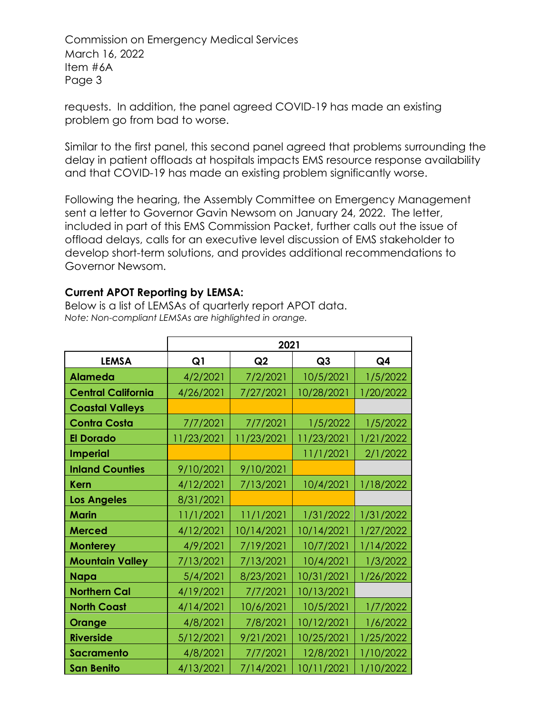Commission on Emergency Medical Services March 16, 2022 Item #6A Page 3

requests. In addition, the panel agreed COVID-19 has made an existing problem go from bad to worse.

Similar to the first panel, this second panel agreed that problems surrounding the delay in patient offloads at hospitals impacts EMS resource response availability and that COVID-19 has made an existing problem significantly worse.

Following the hearing, the Assembly Committee on Emergency Management sent a letter to Governor Gavin Newsom on January 24, 2022. The letter, included in part of this EMS Commission Packet, further calls out the issue of offload delays, calls for an executive level discussion of EMS stakeholder to develop short-term solutions, and provides additional recommendations to Governor Newsom.

## **Current APOT Reporting by LEMSA:**

Below is a list of LEMSAs of quarterly report APOT data. *Note: Non-compliant LEMSAs are highlighted in orange.*

|                           |                | 2021                       |            |           |  |  |  |
|---------------------------|----------------|----------------------------|------------|-----------|--|--|--|
| <b>LEMSA</b>              | Q <sub>1</sub> | Q2<br>Q3<br>Q <sub>4</sub> |            |           |  |  |  |
| <b>Alameda</b>            | 4/2/2021       | 7/2/2021                   | 10/5/2021  | 1/5/2022  |  |  |  |
| <b>Central California</b> | 4/26/2021      | 7/27/2021                  | 10/28/2021 | 1/20/2022 |  |  |  |
| <b>Coastal Valleys</b>    |                |                            |            |           |  |  |  |
| <b>Contra Costa</b>       | 7/7/2021       | 7/7/2021                   | 1/5/2022   | 1/5/2022  |  |  |  |
| <b>El Dorado</b>          | 11/23/2021     | 11/23/2021                 | 11/23/2021 | 1/21/2022 |  |  |  |
| <b>Imperial</b>           |                |                            | 11/1/2021  | 2/1/2022  |  |  |  |
| <b>Inland Counties</b>    | 9/10/2021      | 9/10/2021                  |            |           |  |  |  |
| <b>Kern</b>               | 4/12/2021      | 7/13/2021                  | 10/4/2021  | 1/18/2022 |  |  |  |
| <b>Los Angeles</b>        | 8/31/2021      |                            |            |           |  |  |  |
| <b>Marin</b>              | 11/1/2021      | 11/1/2021                  | 1/31/2022  | 1/31/2022 |  |  |  |
| <b>Merced</b>             | 4/12/2021      | 10/14/2021                 | 10/14/2021 | 1/27/2022 |  |  |  |
| <b>Monterey</b>           | 4/9/2021       | 7/19/2021                  | 10/7/2021  | 1/14/2022 |  |  |  |
| <b>Mountain Valley</b>    | 7/13/2021      | 7/13/2021                  | 10/4/2021  | 1/3/2022  |  |  |  |
| <b>Napa</b>               | 5/4/2021       | 8/23/2021                  | 10/31/2021 | 1/26/2022 |  |  |  |
| <b>Northern Cal</b>       | 4/19/2021      | 7/7/2021                   | 10/13/2021 |           |  |  |  |
| <b>North Coast</b>        | 4/14/2021      | 10/6/2021                  | 10/5/2021  | 1/7/2022  |  |  |  |
| Orange                    | 4/8/2021       | 7/8/2021                   | 10/12/2021 | 1/6/2022  |  |  |  |
| <b>Riverside</b>          | 5/12/2021      | 9/21/2021                  | 10/25/2021 | 1/25/2022 |  |  |  |
| <b>Sacramento</b>         | 4/8/2021       | 7/7/2021                   | 12/8/2021  | 1/10/2022 |  |  |  |
| <b>San Benito</b>         | 4/13/2021      | 7/14/2021                  | 10/11/2021 | 1/10/2022 |  |  |  |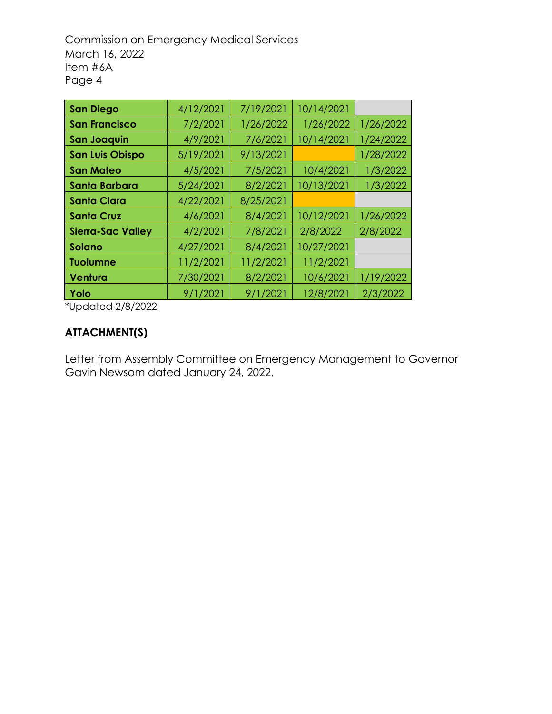Commission on Emergency Medical Services March 16, 2022 Item #6A Page 4

| <b>San Diego</b>         | 4/12/2021 | 7/19/2021 | 10/14/2021 |           |
|--------------------------|-----------|-----------|------------|-----------|
| <b>San Francisco</b>     | 7/2/2021  | 1/26/2022 | 1/26/2022  | 1/26/2022 |
| <b>San Joaquin</b>       | 4/9/2021  | 7/6/2021  | 10/14/2021 | 1/24/2022 |
| <b>San Luis Obispo</b>   | 5/19/2021 | 9/13/2021 |            | 1/28/2022 |
| <b>San Mateo</b>         | 4/5/2021  | 7/5/2021  | 10/4/2021  | 1/3/2022  |
| <b>Santa Barbara</b>     | 5/24/2021 | 8/2/2021  | 10/13/2021 | 1/3/2022  |
| Santa Clara              | 4/22/2021 | 8/25/2021 |            |           |
| <b>Santa Cruz</b>        | 4/6/2021  | 8/4/2021  | 10/12/2021 | 1/26/2022 |
| <b>Sierra-Sac Valley</b> | 4/2/2021  | 7/8/2021  | 2/8/2022   | 2/8/2022  |
| <b>Solano</b>            | 4/27/2021 | 8/4/2021  | 10/27/2021 |           |
| <b>Tuolumne</b>          | 11/2/2021 | 11/2/2021 | 11/2/2021  |           |
| Ventura                  | 7/30/2021 | 8/2/2021  | 10/6/2021  | 1/19/2022 |
| Yolo                     | 9/1/2021  | 9/1/2021  | 12/8/2021  | 2/3/2022  |

\*Updated 2/8/2022

## **ATTACHMENT(S)**

Letter from Assembly Committee on Emergency Management to Governor Gavin Newsom dated January 24, 2022.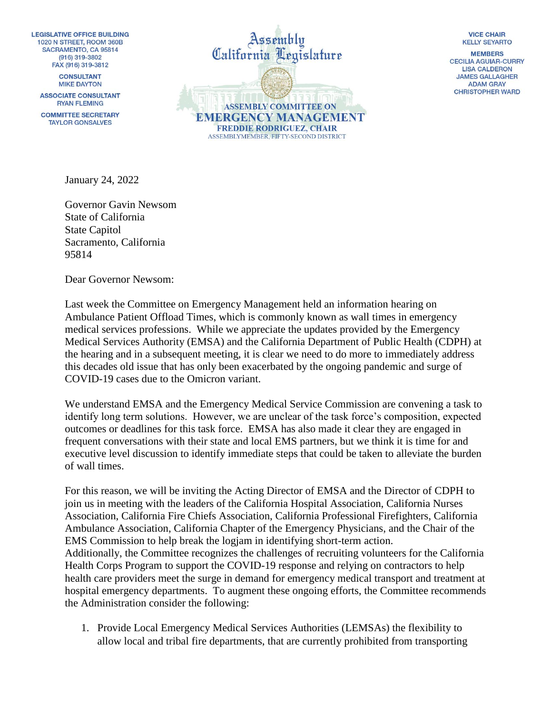**LEGISLATIVE OFFICE BUILDING** 1020 N STREET, ROOM 360B SACRAMENTO, CA 95814  $(916)$  319-3802 FAX (916) 319-3812

> **CONSULTANT MIKE DAYTON**

**ASSOCIATE CONSULTANT RYAN FLEMING** 

**COMMITTEE SECRETARY TAYLOR GONSALVES** 



**VICE CHAIR KELLY SEYARTO** 

**MEMRERS CECILIA AGUIAR-CURRY LISA CALDERON JAMES GALLAGHER ADAM GRAY CHRISTOPHER WARD** 

January 24, 2022

Governor Gavin Newsom State of California State Capitol Sacramento, California 95814

Dear Governor Newsom:

Last week the Committee on Emergency Management held an information hearing on Ambulance Patient Offload Times, which is commonly known as wall times in emergency medical services professions. While we appreciate the updates provided by the Emergency Medical Services Authority (EMSA) and the California Department of Public Health (CDPH) at the hearing and in a subsequent meeting, it is clear we need to do more to immediately address this decades old issue that has only been exacerbated by the ongoing pandemic and surge of COVID-19 cases due to the Omicron variant.

We understand EMSA and the Emergency Medical Service Commission are convening a task to identify long term solutions. However, we are unclear of the task force's composition, expected outcomes or deadlines for this task force. EMSA has also made it clear they are engaged in frequent conversations with their state and local EMS partners, but we think it is time for and executive level discussion to identify immediate steps that could be taken to alleviate the burden of wall times.

For this reason, we will be inviting the Acting Director of EMSA and the Director of CDPH to join us in meeting with the leaders of the California Hospital Association, California Nurses Association, California Fire Chiefs Association, California Professional Firefighters, California Ambulance Association, California Chapter of the Emergency Physicians, and the Chair of the EMS Commission to help break the logjam in identifying short-term action. Additionally, the Committee recognizes the challenges of recruiting volunteers for the California Health Corps Program to support the COVID-19 response and relying on contractors to help health care providers meet the surge in demand for emergency medical transport and treatment at hospital emergency departments. To augment these ongoing efforts, the Committee recommends the Administration consider the following:

1. Provide Local Emergency Medical Services Authorities (LEMSAs) the flexibility to allow local and tribal fire departments, that are currently prohibited from transporting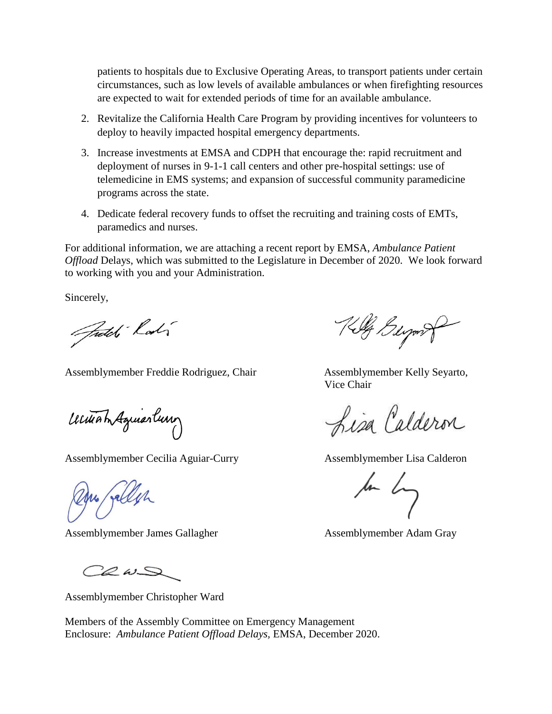patients to hospitals due to Exclusive Operating Areas, to transport patients under certain circumstances, such as low levels of available ambulances or when firefighting resources are expected to wait for extended periods of time for an available ambulance.

- 2. Revitalize the California Health Care Program by providing incentives for volunteers to deploy to heavily impacted hospital emergency departments.
- 3. Increase investments at EMSA and CDPH that encourage the: rapid recruitment and deployment of nurses in 9-1-1 call centers and other pre-hospital settings: use of telemedicine in EMS systems; and expansion of successful community paramedicine programs across the state.
- 4. Dedicate federal recovery funds to offset the recruiting and training costs of EMTs, paramedics and nurses.

For additional information, we are attaching a recent report by EMSA, *Ambulance Patient Offload* Delays, which was submitted to the Legislature in December of 2020. We look forward to working with you and your Administration.

Sincerely,

Fredch Lady

Assemblymember Freddie Rodriguez, Chair **Assemblymember Kelly Seyarto**,

Witham Aguiartum

Assemblymember Cecilia Aguiar-Curry Assemblymember Lisa Calderon

Du fallen

Assemblymember James Gallagher Assemblymember Adam Gray

 $2000$ 

Assemblymember Christopher Ward

Members of the Assembly Committee on Emergency Management Enclosure: *Ambulance Patient Offload Delays,* EMSA, December 2020.

Killy Bergont

Vice Chair

Lisa Calderon

for by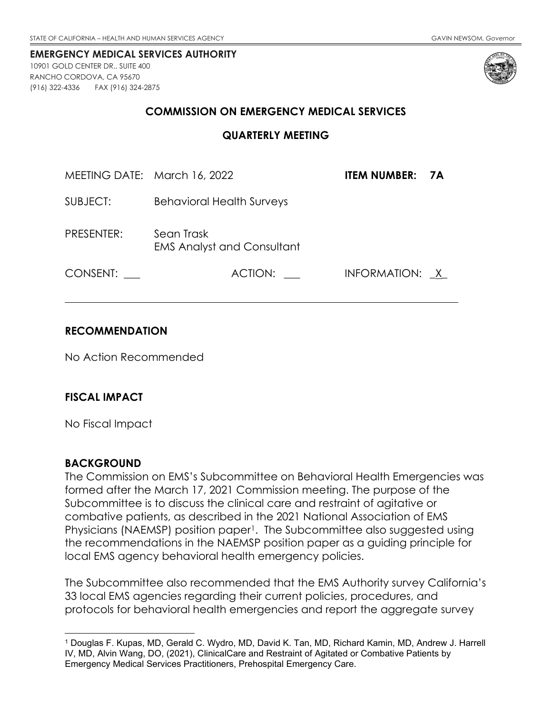<span id="page-33-0"></span>10901 GOLD CENTER DR., SUITE 400 RANCHO CORDOVA, CA 95670 (916) 322-4336 FAX (916) 324-2875



#### **COMMISSION ON EMERGENCY MEDICAL SERVICES**

#### **QUARTERLY MEETING**

| MEETING DATE: March 16, 2022 |                                                 | ITEM NUMBER:   | <b>7A</b> |
|------------------------------|-------------------------------------------------|----------------|-----------|
| SUBJECT:                     | <b>Behavioral Health Surveys</b>                |                |           |
| PRESENTER:                   | Sean Trask<br><b>EMS Analyst and Consultant</b> |                |           |
| CONSENT:                     | ACTION:                                         | INFORMATION: X |           |

### **RECOMMENDATION**

No Action Recommended

#### **FISCAL IMPACT**

No Fiscal Impact

#### **BACKGROUND**

The Commission on EMS's Subcommittee on Behavioral Health Emergencies was formed after the March 17, 2021 Commission meeting. The purpose of the Subcommittee is to discuss the clinical care and restraint of agitative or combative patients, as described in the 2021 National Association of EMS Physicians (NAEMSP) position paper<sup>[1](#page-33-1)</sup>. The Subcommittee also suggested using the recommendations in the NAEMSP position paper as a guiding principle for local EMS agency behavioral health emergency policies.

The Subcommittee also recommended that the EMS Authority survey California's 33 local EMS agencies regarding their current policies, procedures, and protocols for behavioral health emergencies and report the aggregate survey

<span id="page-33-1"></span><sup>1</sup> Douglas F. Kupas, MD, Gerald C. Wydro, MD, David K. Tan, MD, Richard Kamin, MD, Andrew J. Harrell IV, MD, Alvin Wang, DO, (2021), ClinicalCare and Restraint of Agitated or Combative Patients by Emergency Medical Services Practitioners, Prehospital Emergency Care.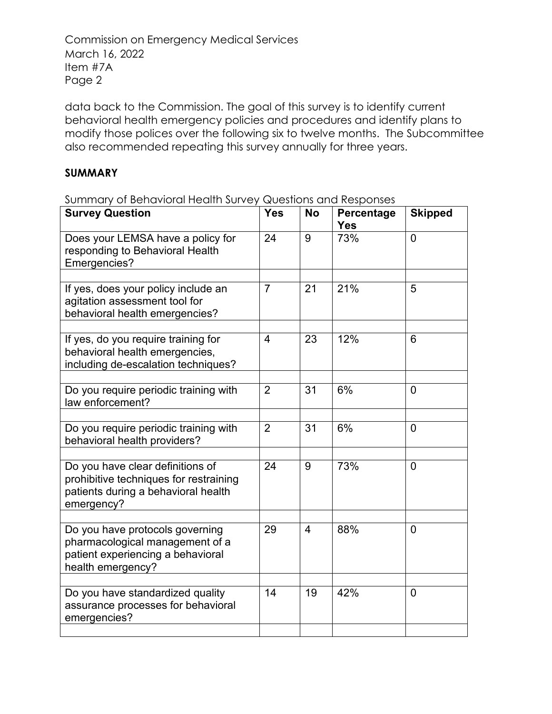Commission on Emergency Medical Services March 16, 2022 Item #7A Page 2

data back to the Commission. The goal of this survey is to identify current behavioral health emergency policies and procedures and identify plans to modify those polices over the following six to twelve months. The Subcommittee also recommended repeating this survey annually for three years.

### **SUMMARY**

Summary of Behavioral Health Survey Questions and Responses

| <b>Survey Question</b>                                                                                                          | <b>Yes</b>     | <b>No</b> | Percentage<br>Yes | <b>Skipped</b> |
|---------------------------------------------------------------------------------------------------------------------------------|----------------|-----------|-------------------|----------------|
| Does your LEMSA have a policy for<br>responding to Behavioral Health<br>Emergencies?                                            | 24             | 9         | 73%               | $\overline{0}$ |
|                                                                                                                                 |                |           |                   |                |
| If yes, does your policy include an<br>agitation assessment tool for<br>behavioral health emergencies?                          | $\overline{7}$ | 21        | 21%               | 5              |
| If yes, do you require training for<br>behavioral health emergencies,<br>including de-escalation techniques?                    | 4              | 23        | 12%               | 6              |
| Do you require periodic training with<br>law enforcement?                                                                       | $\overline{2}$ | 31        | 6%                | $\overline{0}$ |
| Do you require periodic training with<br>behavioral health providers?                                                           | $\overline{2}$ | 31        | 6%                | $\mathbf{0}$   |
| Do you have clear definitions of<br>prohibitive techniques for restraining<br>patients during a behavioral health<br>emergency? | 24             | 9         | 73%               | $\overline{0}$ |
|                                                                                                                                 |                |           |                   |                |
| Do you have protocols governing<br>pharmacological management of a<br>patient experiencing a behavioral<br>health emergency?    | 29             | 4         | 88%               | 0              |
|                                                                                                                                 |                |           |                   |                |
| Do you have standardized quality<br>assurance processes for behavioral<br>emergencies?                                          | 14             | 19        | 42%               | $\overline{0}$ |
|                                                                                                                                 |                |           |                   |                |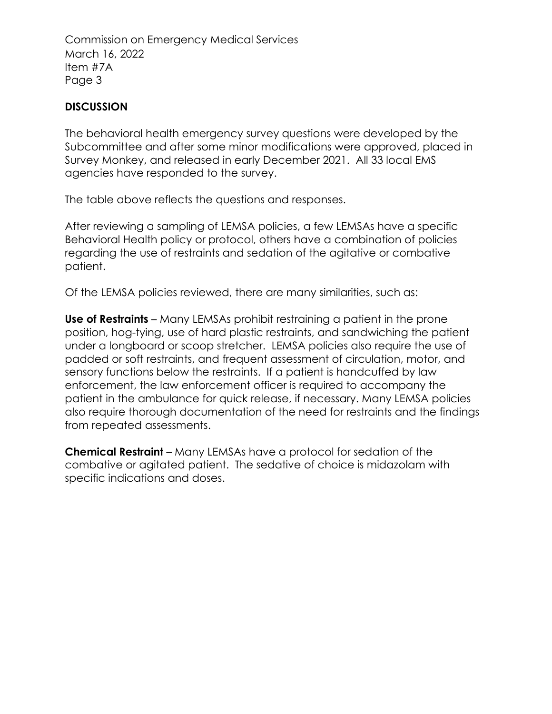Commission on Emergency Medical Services March 16, 2022 Item #7A Page 3

## **DISCUSSION**

The behavioral health emergency survey questions were developed by the Subcommittee and after some minor modifications were approved, placed in Survey Monkey, and released in early December 2021. All 33 local EMS agencies have responded to the survey.

The table above reflects the questions and responses.

After reviewing a sampling of LEMSA policies, a few LEMSAs have a specific Behavioral Health policy or protocol, others have a combination of policies regarding the use of restraints and sedation of the agitative or combative patient.

Of the LEMSA policies reviewed, there are many similarities, such as:

**Use of Restraints** – Many LEMSAs prohibit restraining a patient in the prone position, hog-tying, use of hard plastic restraints, and sandwiching the patient under a longboard or scoop stretcher. LEMSA policies also require the use of padded or soft restraints, and frequent assessment of circulation, motor, and sensory functions below the restraints. If a patient is handcuffed by law enforcement, the law enforcement officer is required to accompany the patient in the ambulance for quick release, if necessary. Many LEMSA policies also require thorough documentation of the need for restraints and the findings from repeated assessments.

**Chemical Restraint** – Many LEMSAs have a protocol for sedation of the combative or agitated patient. The sedative of choice is midazolam with specific indications and doses.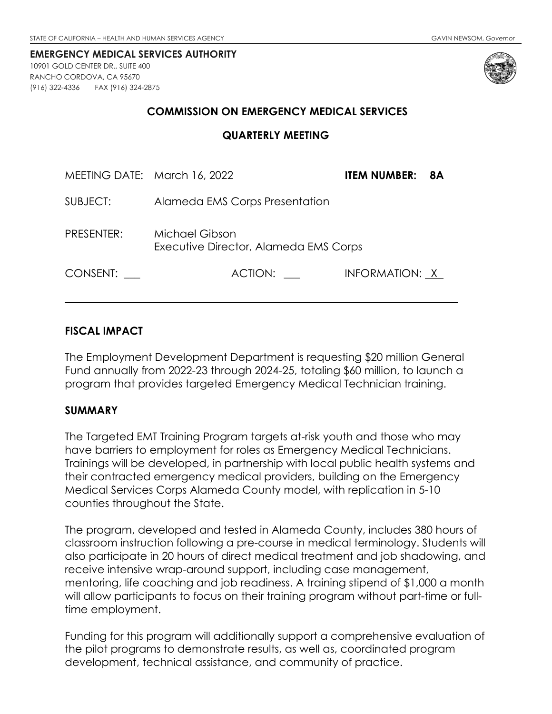<span id="page-36-0"></span>10901 GOLD CENTER DR., SUITE 400 RANCHO CORDOVA, CA 95670 (916) 322-4336 FAX (916) 324-2875



### **COMMISSION ON EMERGENCY MEDICAL SERVICES**

#### **QUARTERLY MEETING**

| MEETING DATE: March 16, 2022 |                                                         | ITEM NUMBER:   | -8A |
|------------------------------|---------------------------------------------------------|----------------|-----|
| SUBJECT:                     | Alameda EMS Corps Presentation                          |                |     |
| PRESENTER:                   | Michael Gibson<br>Executive Director, Alameda EMS Corps |                |     |
| CONSENT:                     | ACTION:                                                 | INFORMATION: X |     |

### **FISCAL IMPACT**

The Employment Development Department is requesting \$20 million General Fund annually from 2022-23 through 2024-25, totaling \$60 million, to launch a program that provides targeted Emergency Medical Technician training.

#### **SUMMARY**

The Targeted EMT Training Program targets at-risk youth and those who may have barriers to employment for roles as Emergency Medical Technicians. Trainings will be developed, in partnership with local public health systems and their contracted emergency medical providers, building on the Emergency Medical Services Corps Alameda County model, with replication in 5-10 counties throughout the State.

The program, developed and tested in Alameda County, includes 380 hours of classroom instruction following a pre-course in medical terminology. Students will also participate in 20 hours of direct medical treatment and job shadowing, and receive intensive wrap-around support, including case management, mentoring, life coaching and job readiness. A training stipend of \$1,000 a month will allow participants to focus on their training program without part-time or fulltime employment.

Funding for this program will additionally support a comprehensive evaluation of the pilot programs to demonstrate results, as well as, coordinated program development, technical assistance, and community of practice.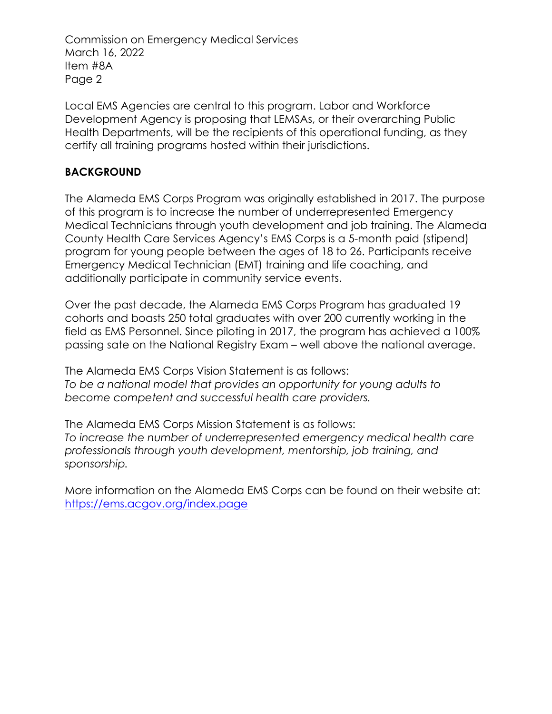Commission on Emergency Medical Services March 16, 2022 Item #8A Page 2

Local EMS Agencies are central to this program. Labor and Workforce Development Agency is proposing that LEMSAs, or their overarching Public Health Departments, will be the recipients of this operational funding, as they certify all training programs hosted within their jurisdictions.

## **BACKGROUND**

The Alameda EMS Corps Program was originally established in 2017. The purpose of this program is to increase the number of underrepresented Emergency Medical Technicians through youth development and job training. The Alameda County Health Care Services Agency's EMS Corps is a 5-month paid (stipend) program for young people between the ages of 18 to 26. Participants receive Emergency Medical Technician (EMT) training and life coaching, and additionally participate in community service events.

Over the past decade, the Alameda EMS Corps Program has graduated 19 cohorts and boasts 250 total graduates with over 200 currently working in the field as EMS Personnel. Since piloting in 2017, the program has achieved a 100% passing sate on the National Registry Exam – well above the national average.

The Alameda EMS Corps Vision Statement is as follows: *To be a national model that provides an opportunity for young adults to become competent and successful health care providers.*

The Alameda EMS Corps Mission Statement is as follows: *To increase the number of underrepresented emergency medical health care professionals through youth development, mentorship, job training, and sponsorship.*

More information on the Alameda EMS Corps can be found on their website at: <https://ems.acgov.org/index.page>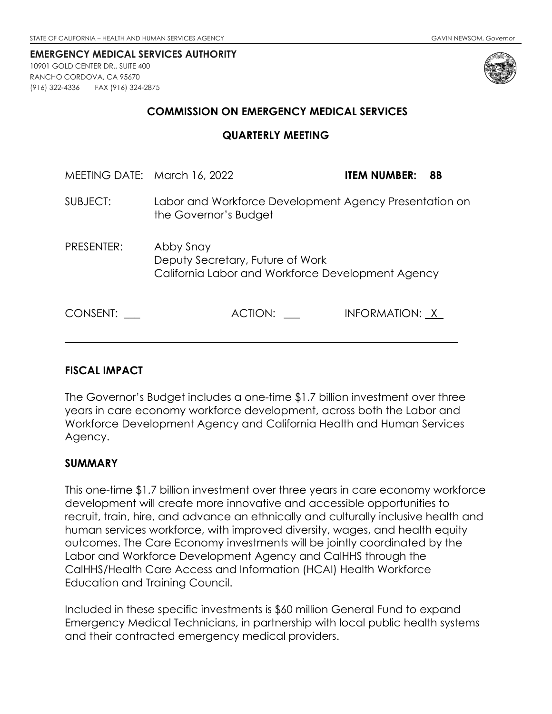<span id="page-38-0"></span>10901 GOLD CENTER DR., SUITE 400 RANCHO CORDOVA, CA 95670 (916) 322-4336 FAX (916) 324-2875



### **COMMISSION ON EMERGENCY MEDICAL SERVICES**

#### **QUARTERLY MEETING**

| MEETING DATE: March 16, 2022 |                                                                                                    | 8B<br><b>ITEM NUMBER:</b> |
|------------------------------|----------------------------------------------------------------------------------------------------|---------------------------|
| SUBJECT:                     | Labor and Workforce Development Agency Presentation on<br>the Governor's Budget                    |                           |
| PRESENTER:                   | Abby Snay<br>Deputy Secretary, Future of Work<br>California Labor and Workforce Development Agency |                           |
| CONSENT:                     | ACTION:                                                                                            | INFORMATION: X            |

#### **FISCAL IMPACT**

The Governor's Budget includes a one-time \$1.7 billion investment over three years in care economy workforce development, across both the Labor and Workforce Development Agency and California Health and Human Services Agency.

### **SUMMARY**

This one-time \$1.7 billion investment over three years in care economy workforce development will create more innovative and accessible opportunities to recruit, train, hire, and advance an ethnically and culturally inclusive health and human services workforce, with improved diversity, wages, and health equity outcomes. The Care Economy investments will be jointly coordinated by the Labor and Workforce Development Agency and CalHHS through the CalHHS/Health Care Access and Information (HCAI) Health Workforce Education and Training Council.

Included in these specific investments is \$60 million General Fund to expand Emergency Medical Technicians, in partnership with local public health systems and their contracted emergency medical providers.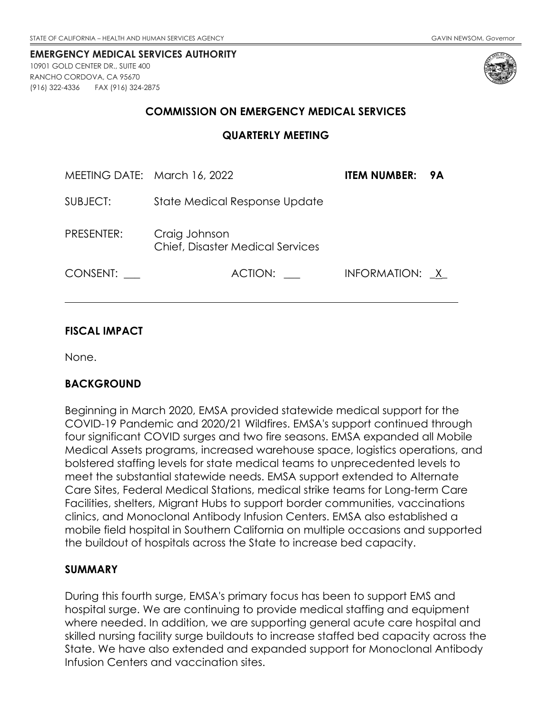<span id="page-39-0"></span>10901 GOLD CENTER DR., SUITE 400 RANCHO CORDOVA, CA 95670 (916) 322-4336 FAX (916) 324-2875



#### **COMMISSION ON EMERGENCY MEDICAL SERVICES**

| MEETING DATE: March 16, 2022 |                                                          | ITEM NUMBER:   | 9A |
|------------------------------|----------------------------------------------------------|----------------|----|
| SUBJECT:                     | State Medical Response Update                            |                |    |
| PRESENTER:                   | Craig Johnson<br><b>Chief, Disaster Medical Services</b> |                |    |
| CONSENT:                     | ACTION:                                                  | INFORMATION: X |    |

### **FISCAL IMPACT**

None.

### **BACKGROUND**

Beginning in March 2020, EMSA provided statewide medical support for the COVID-19 Pandemic and 2020/21 Wildfires. EMSA's support continued through four significant COVID surges and two fire seasons. EMSA expanded all Mobile Medical Assets programs, increased warehouse space, logistics operations, and bolstered staffing levels for state medical teams to unprecedented levels to meet the substantial statewide needs. EMSA support extended to Alternate Care Sites, Federal Medical Stations, medical strike teams for Long-term Care Facilities, shelters, Migrant Hubs to support border communities, vaccinations clinics, and Monoclonal Antibody Infusion Centers. EMSA also established a mobile field hospital in Southern California on multiple occasions and supported the buildout of hospitals across the State to increase bed capacity.

#### **SUMMARY**

During this fourth surge, EMSA's primary focus has been to support EMS and hospital surge. We are continuing to provide medical staffing and equipment where needed. In addition, we are supporting general acute care hospital and skilled nursing facility surge buildouts to increase staffed bed capacity across the State. We have also extended and expanded support for Monoclonal Antibody Infusion Centers and vaccination sites.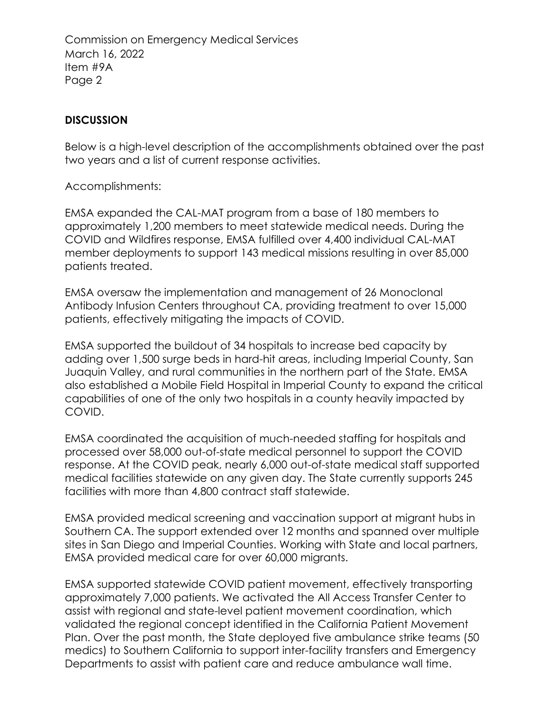Commission on Emergency Medical Services March 16, 2022 Item #9A Page 2

### **DISCUSSION**

Below is a high-level description of the accomplishments obtained over the past two years and a list of current response activities.

Accomplishments:

EMSA expanded the CAL-MAT program from a base of 180 members to approximately 1,200 members to meet statewide medical needs. During the COVID and Wildfires response, EMSA fulfilled over 4,400 individual CAL-MAT member deployments to support 143 medical missions resulting in over 85,000 patients treated.

EMSA oversaw the implementation and management of 26 Monoclonal Antibody Infusion Centers throughout CA, providing treatment to over 15,000 patients, effectively mitigating the impacts of COVID.

EMSA supported the buildout of 34 hospitals to increase bed capacity by adding over 1,500 surge beds in hard-hit areas, including Imperial County, San Juaquin Valley, and rural communities in the northern part of the State. EMSA also established a Mobile Field Hospital in Imperial County to expand the critical capabilities of one of the only two hospitals in a county heavily impacted by COVID.

EMSA coordinated the acquisition of much-needed staffing for hospitals and processed over 58,000 out-of-state medical personnel to support the COVID response. At the COVID peak, nearly 6,000 out-of-state medical staff supported medical facilities statewide on any given day. The State currently supports 245 facilities with more than 4,800 contract staff statewide.

EMSA provided medical screening and vaccination support at migrant hubs in Southern CA. The support extended over 12 months and spanned over multiple sites in San Diego and Imperial Counties. Working with State and local partners, EMSA provided medical care for over 60,000 migrants.

EMSA supported statewide COVID patient movement, effectively transporting approximately 7,000 patients. We activated the All Access Transfer Center to assist with regional and state-level patient movement coordination, which validated the regional concept identified in the California Patient Movement Plan. Over the past month, the State deployed five ambulance strike teams (50 medics) to Southern California to support inter-facility transfers and Emergency Departments to assist with patient care and reduce ambulance wall time.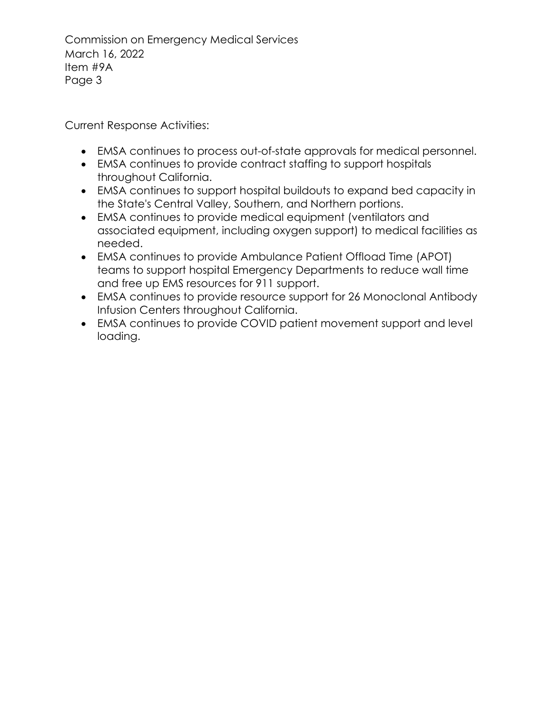Commission on Emergency Medical Services March 16, 2022 Item #9A Page 3

Current Response Activities:

- EMSA continues to process out-of-state approvals for medical personnel.
- EMSA continues to provide contract staffing to support hospitals throughout California.
- EMSA continues to support hospital buildouts to expand bed capacity in the State's Central Valley, Southern, and Northern portions.
- EMSA continues to provide medical equipment (ventilators and associated equipment, including oxygen support) to medical facilities as needed.
- EMSA continues to provide Ambulance Patient Offload Time (APOT) teams to support hospital Emergency Departments to reduce wall time and free up EMS resources for 911 support.
- EMSA continues to provide resource support for 26 Monoclonal Antibody Infusion Centers throughout California.
- EMSA continues to provide COVID patient movement support and level loading.